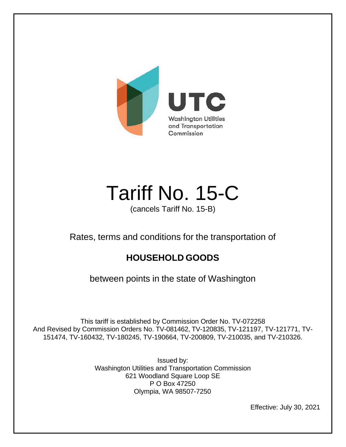

# Tariff No. 15-C

(cancels Tariff No. 15-B)

Rates, terms and conditions for the transportation of

### **HOUSEHOLD GOODS**

between points in the state of Washington

This tariff is established by Commission Order No. TV-072258 And Revised by Commission Orders No. TV-081462, TV-120835, TV-121197, TV-121771, TV-151474, TV-160432, TV-180245, TV-190664, TV-200809, TV-210035, and TV-210326.

> Issued by: Washington Utilities and Transportation Commission 621 Woodland Square Loop SE P O Box 47250 Olympia, WA 98507-7250

> > Effective: July 30, 2021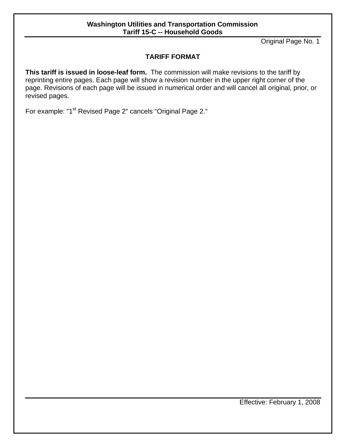#### **Washington Utilities and Transportation Commission Tariff 15-C -- Household Goods**

Original Page No. 1

#### **TARIFF FORMAT**

**This tariff is issued in loose-leaf form.** The commission will make revisions to the tariff by reprinting entire pages. Each page will show a revision number in the upper right corner of the page. Revisions of each page will be issued in numerical order and will cancel all original, prior, or revised pages.

For example: "1<sup>st</sup> Revised Page 2" cancels "Original Page 2."

Effective: February 1, 2008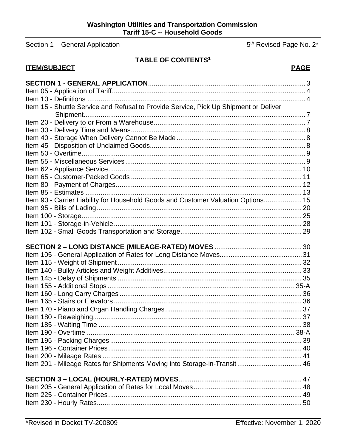Section 1 - General Application

**ITEM/SUBJECT** 

#### **TABLE OF CONTENTS<sup>1</sup>**

| Item 15 - Shuttle Service and Refusal to Provide Service, Pick Up Shipment or Deliver |  |
|---------------------------------------------------------------------------------------|--|
|                                                                                       |  |
|                                                                                       |  |
|                                                                                       |  |
|                                                                                       |  |
|                                                                                       |  |
|                                                                                       |  |
|                                                                                       |  |
|                                                                                       |  |
|                                                                                       |  |
|                                                                                       |  |
|                                                                                       |  |
| Item 90 - Carrier Liability for Household Goods and Customer Valuation Options 15     |  |
|                                                                                       |  |
|                                                                                       |  |
|                                                                                       |  |
|                                                                                       |  |
|                                                                                       |  |
|                                                                                       |  |
|                                                                                       |  |
|                                                                                       |  |
|                                                                                       |  |
|                                                                                       |  |
|                                                                                       |  |
|                                                                                       |  |
|                                                                                       |  |
|                                                                                       |  |
|                                                                                       |  |
|                                                                                       |  |
|                                                                                       |  |
|                                                                                       |  |
|                                                                                       |  |
|                                                                                       |  |
| Item 201 - Mileage Rates for Shipments Moving into Storage-in-Transit 46              |  |
|                                                                                       |  |
|                                                                                       |  |
|                                                                                       |  |
|                                                                                       |  |
|                                                                                       |  |
|                                                                                       |  |

**PAGE** 

5<sup>th</sup> Revised Page No. 2\*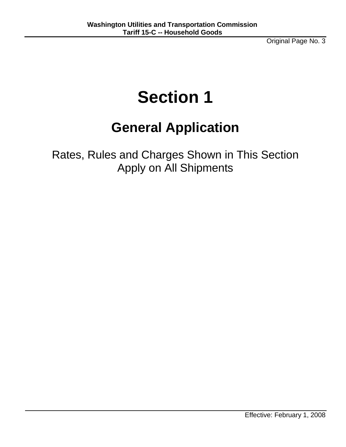Original Page No. 3

## **Section 1**

### **General Application**

Rates, Rules and Charges Shown in This Section Apply on All Shipments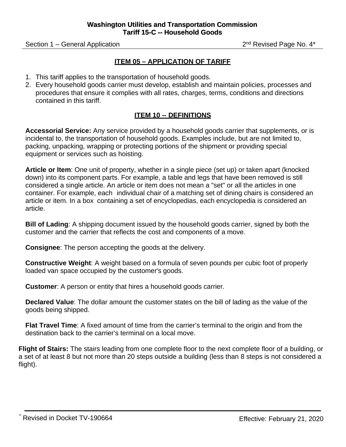Section 1 – General Application 2nd Revised Page No. 4\*

#### **ITEM 05 – APPLICATION OF TARIFF**

- 1. This tariff applies to the transportation of household goods.
- 2. Every household goods carrier must develop, establish and maintain policies, processes and procedures that ensure it complies with all rates, charges, terms, conditions and directions contained in this tariff.

#### **ITEM 10 -- DEFINITIONS**

**Accessorial Service:** Any service provided by a household goods carrier that supplements, or is incidental to, the transportation of household goods. Examples include, but are not limited to, packing, unpacking, wrapping or protecting portions of the shipment or providing special equipment or services such as hoisting.

**Article or Item**: One unit of property, whether in a single piece (set up) or taken apart (knocked down) into its component parts. For example, a table and legs that have been removed is still considered a single article. An article or item does not mean a "set" or all the articles in one container. For example, each individual chair of a matching set of dining chairs is considered an article or item. In a box containing a set of encyclopedias, each encyclopedia is considered an article.

**Bill of Lading**: A shipping document issued by the household goods carrier, signed by both the customer and the carrier that reflects the cost and components of a move.

**Consignee**: The person accepting the goods at the delivery.

**Constructive Weight**: A weight based on a formula of seven pounds per cubic foot of properly loaded van space occupied by the customer's goods.

**Customer**: A person or entity that hires a household goods carrier.

**Declared Value**: The dollar amount the customer states on the bill of lading as the value of the goods being shipped.

**Flat Travel Time**: A fixed amount of time from the carrier's terminal to the origin and from the destination back to the carrier's terminal on a local move.

**Flight of Stairs:** The stairs leading from one complete floor to the next complete floor of a building, or a set of at least 8 but not more than 20 steps outside a building (less than 8 steps is not considered a flight).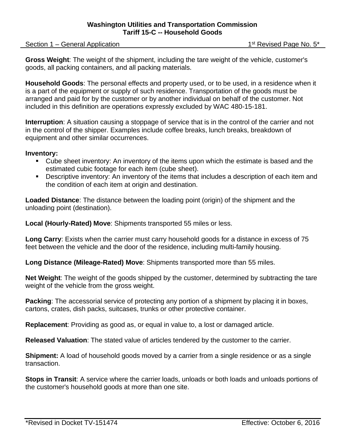Section 1 – General Application 1st Revised Page No. 5\*

**Gross Weight**: The weight of the shipment, including the tare weight of the vehicle, customer's goods, all packing containers, and all packing materials.

**Household Goods**: The personal effects and property used, or to be used, in a residence when it is a part of the equipment or supply of such residence. Transportation of the goods must be arranged and paid for by the customer or by another individual on behalf of the customer. Not included in this definition are operations expressly excluded by WAC 480-15-181.

**Interruption**: A situation causing a stoppage of service that is in the control of the carrier and not in the control of the shipper. Examples include coffee breaks, lunch breaks, breakdown of equipment and other similar occurrences.

#### **Inventory:**

- Cube sheet inventory: An inventory of the items upon which the estimate is based and the estimated cubic footage for each item (cube sheet).
- Descriptive inventory: An inventory of the items that includes a description of each item and the condition of each item at origin and destination.

**Loaded Distance**: The distance between the loading point (origin) of the shipment and the unloading point (destination).

**Local (Hourly-Rated) Move**: Shipments transported 55 miles or less.

**Long Carry**: Exists when the carrier must carry household goods for a distance in excess of 75 feet between the vehicle and the door of the residence, including multi-family housing.

**Long Distance (Mileage-Rated) Move**: Shipments transported more than 55 miles.

**Net Weight**: The weight of the goods shipped by the customer, determined by subtracting the tare weight of the vehicle from the gross weight.

**Packing**: The accessorial service of protecting any portion of a shipment by placing it in boxes, cartons, crates, dish packs, suitcases, trunks or other protective container.

**Replacement**: Providing as good as, or equal in value to, a lost or damaged article.

**Released Valuation**: The stated value of articles tendered by the customer to the carrier.

**Shipment:** A load of household goods moved by a carrier from a single residence or as a single transaction.

**Stops in Transit**: A service where the carrier loads, unloads or both loads and unloads portions of the customer's household goods at more than one site.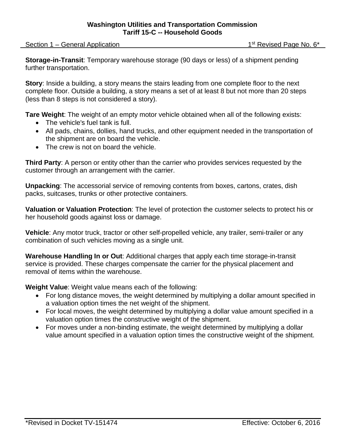Section 1 – General Application 1st Revised Page No. 6\*

**Storage-in-Transit**: Temporary warehouse storage (90 days or less) of a shipment pending further transportation.

**Story**: Inside a building, a story means the stairs leading from one complete floor to the next complete floor. Outside a building, a story means a set of at least 8 but not more than 20 steps (less than 8 steps is not considered a story).

**Tare Weight**: The weight of an empty motor vehicle obtained when all of the following exists:

- The vehicle's fuel tank is full.
- All pads, chains, dollies, hand trucks, and other equipment needed in the transportation of the shipment are on board the vehicle.
- The crew is not on board the vehicle.

**Third Party**: A person or entity other than the carrier who provides services requested by the customer through an arrangement with the carrier.

**Unpacking**: The accessorial service of removing contents from boxes, cartons, crates, dish packs, suitcases, trunks or other protective containers.

**Valuation or Valuation Protection**: The level of protection the customer selects to protect his or her household goods against loss or damage.

**Vehicle**: Any motor truck, tractor or other self-propelled vehicle, any trailer, semi-trailer or any combination of such vehicles moving as a single unit.

**Warehouse Handling In or Out**: Additional charges that apply each time storage-in-transit service is provided. These charges compensate the carrier for the physical placement and removal of items within the warehouse.

**Weight Value**: Weight value means each of the following:

- For long distance moves, the weight determined by multiplying a dollar amount specified in a valuation option times the net weight of the shipment.
- For local moves, the weight determined by multiplying a dollar value amount specified in a valuation option times the constructive weight of the shipment.
- For moves under a non-binding estimate, the weight determined by multiplying a dollar value amount specified in a valuation option times the constructive weight of the shipment.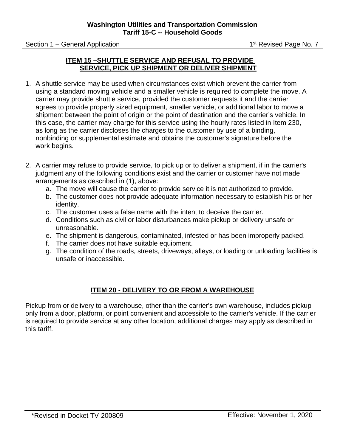Section 1 – General Application 1st Revised Page No. 7

#### **ITEM 15 –SHUTTLE SERVICE AND REFUSAL TO PROVIDE SERVICE, PICK UP SHIPMENT OR DELIVER SHIPMENT**

- 1. A shuttle service may be used when circumstances exist which prevent the carrier from using a standard moving vehicle and a smaller vehicle is required to complete the move. A carrier may provide shuttle service, provided the customer requests it and the carrier agrees to provide properly sized equipment, smaller vehicle, or additional labor to move a shipment between the point of origin or the point of destination and the carrier's vehicle. In this case, the carrier may charge for this service using the hourly rates listed in Item 230, as long as the carrier discloses the charges to the customer by use of a binding, nonbinding or supplemental estimate and obtains the customer's signature before the work begins.
- 2. A carrier may refuse to provide service, to pick up or to deliver a shipment, if in the carrier's judgment any of the following conditions exist and the carrier or customer have not made arrangements as described in (1), above:
	- a. The move will cause the carrier to provide service it is not authorized to provide.
	- b. The customer does not provide adequate information necessary to establish his or her identity.
	- c. The customer uses a false name with the intent to deceive the carrier.
	- d. Conditions such as civil or labor disturbances make pickup or delivery unsafe or unreasonable.
	- e. The shipment is dangerous, contaminated, infested or has been improperly packed.
	- f. The carrier does not have suitable equipment.
	- g. The condition of the roads, streets, driveways, alleys, or loading or unloading facilities is unsafe or inaccessible.

#### **ITEM 20 - DELIVERY TO OR FROM A WAREHOUSE**

Pickup from or delivery to a warehouse, other than the carrier's own warehouse, includes pickup only from a door, platform, or point convenient and accessible to the carrier's vehicle. If the carrier is required to provide service at any other location, additional charges may apply as described in this tariff.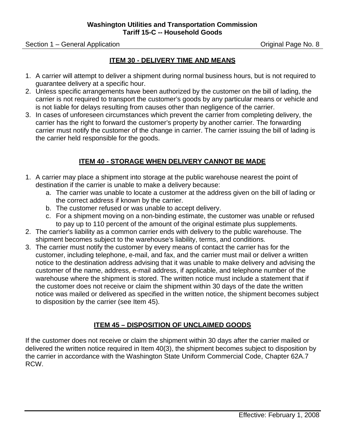Section 1 – General Application **Contract Contract Contract Contract Contract Contract Contract Contract Contract Contract Contract Contract Contract Contract Contract Contract Contract Contract Contract Contract Contract** 

#### **ITEM 30 - DELIVERY TIME AND MEANS**

- 1. A carrier will attempt to deliver a shipment during normal business hours, but is not required to guarantee delivery at a specific hour.
- 2. Unless specific arrangements have been authorized by the customer on the bill of lading, the carrier is not required to transport the customer's goods by any particular means or vehicle and is not liable for delays resulting from causes other than negligence of the carrier.
- 3. In cases of unforeseen circumstances which prevent the carrier from completing delivery, the carrier has the right to forward the customer's property by another carrier. The forwarding carrier must notify the customer of the change in carrier. The carrier issuing the bill of lading is the carrier held responsible for the goods.

#### **ITEM 40 - STORAGE WHEN DELIVERY CANNOT BE MADE**

- 1. A carrier may place a shipment into storage at the public warehouse nearest the point of destination if the carrier is unable to make a delivery because:
	- a. The carrier was unable to locate a customer at the address given on the bill of lading or the correct address if known by the carrier.
	- b. The customer refused or was unable to accept delivery.
	- c. For a shipment moving on a non-binding estimate, the customer was unable or refused to pay up to 110 percent of the amount of the original estimate plus supplements.
- 2. The carrier's liability as a common carrier ends with delivery to the public warehouse. The shipment becomes subject to the warehouse's liability, terms, and conditions.
- 3. The carrier must notify the customer by every means of contact the carrier has for the customer, including telephone, e-mail, and fax, and the carrier must mail or deliver a written notice to the destination address advising that it was unable to make delivery and advising the customer of the name, address, e-mail address, if applicable, and telephone number of the warehouse where the shipment is stored. The written notice must include a statement that if the customer does not receive or claim the shipment within 30 days of the date the written notice was mailed or delivered as specified in the written notice, the shipment becomes subject to disposition by the carrier (see Item 45).

#### **ITEM 45 – DISPOSITION OF UNCLAIMED GOODS**

If the customer does not receive or claim the shipment within 30 days after the carrier mailed or delivered the written notice required in Item 40(3), the shipment becomes subject to disposition by the carrier in accordance with the Washington State Uniform Commercial Code, Chapter 62A.7 RCW.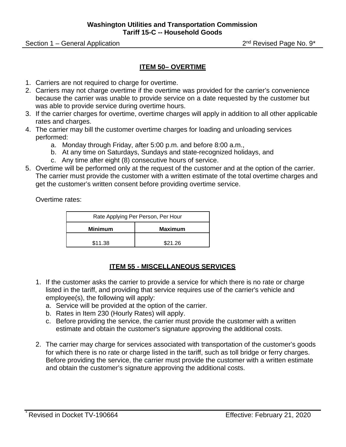Section 1 – General Application 2nd Revised Page No. 9\*

#### **ITEM 50– OVERTIME**

- 1. Carriers are not required to charge for overtime.
- 2. Carriers may not charge overtime if the overtime was provided for the carrier's convenience because the carrier was unable to provide service on a date requested by the customer but was able to provide service during overtime hours.
- 3. If the carrier charges for overtime, overtime charges will apply in addition to all other applicable rates and charges.
- 4. The carrier may bill the customer overtime charges for loading and unloading services performed:
	- a. Monday through Friday, after 5:00 p.m. and before 8:00 a.m.,
	- b. At any time on Saturdays, Sundays and state-recognized holidays, and
	- c. Any time after eight (8) consecutive hours of service.
- 5. Overtime will be performed only at the request of the customer and at the option of the carrier. The carrier must provide the customer with a written estimate of the total overtime charges and get the customer's written consent before providing overtime service.

Overtime rates:

| Rate Applying Per Person, Per Hour |  |  |  |
|------------------------------------|--|--|--|
| <b>Minimum</b><br><b>Maximum</b>   |  |  |  |
| \$11.38<br>\$21.26                 |  |  |  |

#### **ITEM 55 - MISCELLANEOUS SERVICES**

- 1. If the customer asks the carrier to provide a service for which there is no rate or charge listed in the tariff, and providing that service requires use of the carrier's vehicle and employee(s), the following will apply:
	- a. Service will be provided at the option of the carrier.
	- b. Rates in Item 230 (Hourly Rates) will apply.
	- c. Before providing the service, the carrier must provide the customer with a written estimate and obtain the customer's signature approving the additional costs.
- 2. The carrier may charge for services associated with transportation of the customer's goods for which there is no rate or charge listed in the tariff, such as toll bridge or ferry charges. Before providing the service, the carrier must provide the customer with a written estimate and obtain the customer's signature approving the additional costs.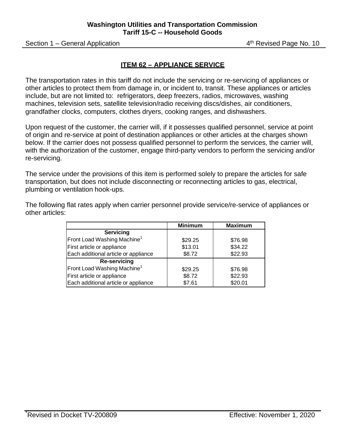Section 1 – General Application **4th Revised Page No. 10** 

#### **ITEM 62 – APPLIANCE SERVICE**

The transportation rates in this tariff do not include the servicing or re-servicing of appliances or other articles to protect them from damage in, or incident to, transit. These appliances or articles include, but are not limited to: refrigerators, deep freezers, radios, microwaves, washing machines, television sets, satellite television/radio receiving discs/dishes, air conditioners, grandfather clocks, computers, clothes dryers, cooking ranges, and dishwashers.

Upon request of the customer, the carrier will, if it possesses qualified personnel, service at point of origin and re-service at point of destination appliances or other articles at the charges shown below. If the carrier does not possess qualified personnel to perform the services, the carrier will, with the authorization of the customer, engage third-party vendors to perform the servicing and/or re-servicing.

The service under the provisions of this item is performed solely to prepare the articles for safe transportation, but does not include disconnecting or reconnecting articles to gas, electrical, plumbing or ventilation hook-ups.

The following flat rates apply when carrier personnel provide service/re-service of appliances or other articles:

|                                         | <b>Minimum</b> | <b>Maximum</b> |
|-----------------------------------------|----------------|----------------|
| <b>Servicing</b>                        |                |                |
| Front Load Washing Machine <sup>1</sup> | \$29.25        | \$76.98        |
| First article or appliance              | \$13.01        | \$34.22        |
| Each additional article or appliance    | \$8.72         | \$22.93        |
| <b>Re-servicing</b>                     |                |                |
| Front Load Washing Machine <sup>1</sup> | \$29.25        | \$76.98        |
| First article or appliance              | \$8.72         | \$22.93        |
| Each additional article or appliance    | \$7.61         | \$20.01        |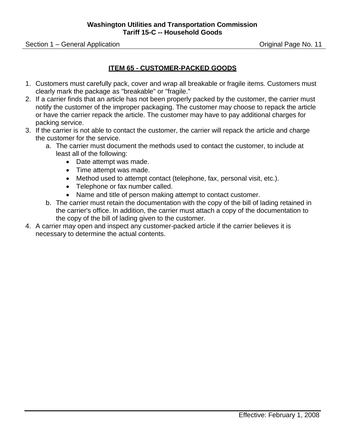Section 1 – General Application **Section 1 – General Application** Contract Contract Contract Contract Contract Contract Contract Contract Contract Contract Contract Contract Contract Contract Contract Contract Contract Con

#### **ITEM 65 - CUSTOMER-PACKED GOODS**

- 1. Customers must carefully pack, cover and wrap all breakable or fragile items. Customers must clearly mark the package as "breakable" or "fragile."
- 2. If a carrier finds that an article has not been properly packed by the customer, the carrier must notify the customer of the improper packaging. The customer may choose to repack the article or have the carrier repack the article. The customer may have to pay additional charges for packing service.
- 3. If the carrier is not able to contact the customer, the carrier will repack the article and charge the customer for the service.
	- a. The carrier must document the methods used to contact the customer, to include at least all of the following:
		- Date attempt was made.
		- Time attempt was made.
		- Method used to attempt contact (telephone, fax, personal visit, etc.).
		- Telephone or fax number called.
		- Name and title of person making attempt to contact customer.
	- b. The carrier must retain the documentation with the copy of the bill of lading retained in the carrier's office. In addition, the carrier must attach a copy of the documentation to the copy of the bill of lading given to the customer.
- 4. A carrier may open and inspect any customer-packed article if the carrier believes it is necessary to determine the actual contents.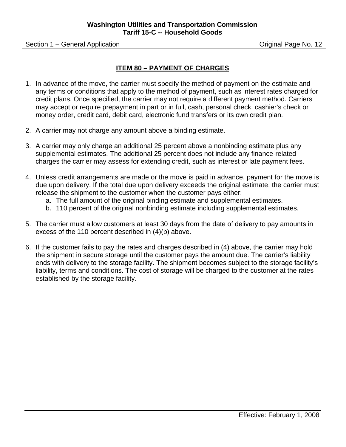Section 1 – General Application **Section 1 – General Application** Contract Contract Contract Contract Contract Contract Contract Contract Contract Contract Contract Contract Contract Contract Contract Contract Contract Con

#### **ITEM 80 – PAYMENT OF CHARGES**

- 1. In advance of the move, the carrier must specify the method of payment on the estimate and any terms or conditions that apply to the method of payment, such as interest rates charged for credit plans. Once specified, the carrier may not require a different payment method. Carriers may accept or require prepayment in part or in full, cash, personal check, cashier's check or money order, credit card, debit card, electronic fund transfers or its own credit plan.
- 2. A carrier may not charge any amount above a binding estimate.
- 3. A carrier may only charge an additional 25 percent above a nonbinding estimate plus any supplemental estimates. The additional 25 percent does not include any finance-related charges the carrier may assess for extending credit, such as interest or late payment fees.
- 4. Unless credit arrangements are made or the move is paid in advance, payment for the move is due upon delivery. If the total due upon delivery exceeds the original estimate, the carrier must release the shipment to the customer when the customer pays either:
	- a. The full amount of the original binding estimate and supplemental estimates.
	- b. 110 percent of the original nonbinding estimate including supplemental estimates.
- 5. The carrier must allow customers at least 30 days from the date of delivery to pay amounts in excess of the 110 percent described in (4)(b) above.
- 6. If the customer fails to pay the rates and charges described in (4) above, the carrier may hold the shipment in secure storage until the customer pays the amount due. The carrier's liability ends with delivery to the storage facility. The shipment becomes subject to the storage facility's liability, terms and conditions. The cost of storage will be charged to the customer at the rates established by the storage facility.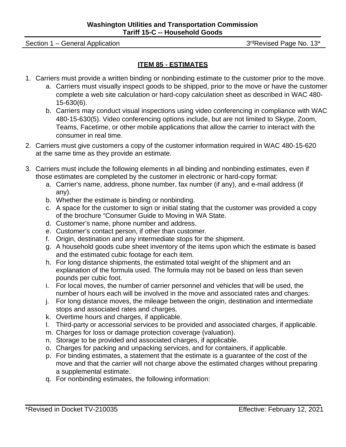Section 1 – General Application 3rdRevised Page No. 13\*

#### **ITEM 85 - ESTIMATES**

- 1. Carriers must provide a written binding or nonbinding estimate to the customer prior to the move.
	- a. Carriers must visually inspect goods to be shipped, prior to the move or have the customer complete a web site calculation or hard-copy calculation sheet as described in WAC 480- 15-630(6).
	- b. Carriers may conduct visual inspections using video conferencing in compliance with WAC 480-15-630(5). Video conferencing options include, but are not limited to Skype, Zoom, Teams, Facetime, or other mobile applications that allow the carrier to interact with the consumer in real time.
- 2. Carriers must give customers a copy of the customer information required in WAC 480-15-620 at the same time as they provide an estimate.
- 3. Carriers must include the following elements in all binding and nonbinding estimates, even if those estimates are completed by the customer in electronic or hard-copy format:
	- a. Carrier's name, address, phone number, fax number (if any), and e-mail address (if any).
	- b. Whether the estimate is binding or nonbinding.
	- c. A space for the customer to sign or initial stating that the customer was provided a copy of the brochure "Consumer Guide to Moving in WA State.
	- d. Customer's name, phone number and address.
	- e. Customer's contact person, if other than customer.
	- f. Origin, destination and any intermediate stops for the shipment.
	- g. A household goods cube sheet inventory of the items upon which the estimate is based and the estimated cubic footage for each item.
	- h. For long distance shipments, the estimated total weight of the shipment and an explanation of the formula used. The formula may not be based on less than seven pounds per cubic foot.
	- i. For local moves, the number of carrier personnel and vehicles that will be used, the number of hours each will be involved in the move and associated rates and charges.
	- j. For long distance moves, the mileage between the origin, destination and intermediate stops and associated rates and charges.
	- k. Overtime hours and charges, if applicable.
	- l. Third-party or accessorial services to be provided and associated charges, if applicable.
	- m. Charges for loss or damage protection coverage (valuation).
	- n. Storage to be provided and associated charges, if applicable.
	- o. Charges for packing and unpacking services, and for containers, if applicable.
	- p. For binding estimates, a statement that the estimate is a guarantee of the cost of the move and that the carrier will not charge above the estimated charges without preparing a supplemental estimate.
	- q. For nonbinding estimates, the following information: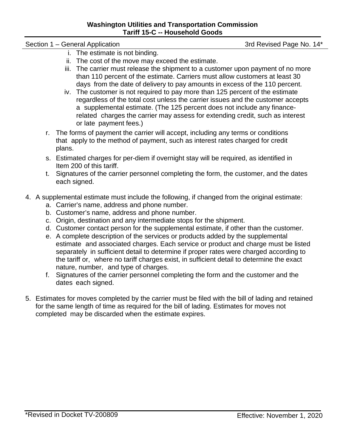#### **Washington Utilities and Transportation Commission Tariff 15-C -- Household Goods**

#### Section 1 – General Application 3rd Revised Page No. 14\*

- i. The estimate is not binding.
- ii. The cost of the move may exceed the estimate.
- iii. The carrier must release the shipment to a customer upon payment of no more than 110 percent of the estimate. Carriers must allow customers at least 30 days from the date of delivery to pay amounts in excess of the 110 percent.
- iv. The customer is not required to pay more than 125 percent of the estimate regardless of the total cost unless the carrier issues and the customer accepts a supplemental estimate. (The 125 percent does not include any financerelated charges the carrier may assess for extending credit, such as interest or late payment fees.)
- r. The forms of payment the carrier will accept, including any terms or conditions that apply to the method of payment, such as interest rates charged for credit plans.
- s. Estimated charges for per-diem if overnight stay will be required, as identified in Item 200 of this tariff.
- t. Signatures of the carrier personnel completing the form, the customer, and the dates each signed.
- 4. A supplemental estimate must include the following, if changed from the original estimate:
	- a. Carrier's name, address and phone number.
	- b. Customer's name, address and phone number.
	- c. Origin, destination and any intermediate stops for the shipment.
	- d. Customer contact person for the supplemental estimate, if other than the customer.
	- e. A complete description of the services or products added by the supplemental estimate and associated charges. Each service or product and charge must be listed separately in sufficient detail to determine if proper rates were charged according to the tariff or, where no tariff charges exist, in sufficient detail to determine the exact nature, number, and type of charges.
	- f. Signatures of the carrier personnel completing the form and the customer and the dates each signed.
- 5. Estimates for moves completed by the carrier must be filed with the bill of lading and retained for the same length of time as required for the bill of lading. Estimates for moves not completed may be discarded when the estimate expires.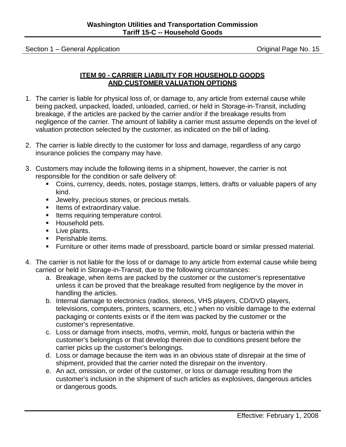Section 1 – General Application **Contract Contract Contract Contract Contract Contract Contract Contract Contract Contract Contract Contract Contract Contract Contract Contract Contract Contract Contract Contract Contract** 

#### **ITEM 90 - CARRIER LIABILITY FOR HOUSEHOLD GOODS AND CUSTOMER VALUATION OPTIONS**

- 1. The carrier is liable for physical loss of, or damage to, any article from external cause while being packed, unpacked, loaded, unloaded, carried, or held in Storage-in-Transit, including breakage, if the articles are packed by the carrier and/or if the breakage results from negligence of the carrier. The amount of liability a carrier must assume depends on the level of valuation protection selected by the customer, as indicated on the bill of lading.
- 2. The carrier is liable directly to the customer for loss and damage, regardless of any cargo insurance policies the company may have.
- 3. Customers may include the following items in a shipment, however, the carrier is not responsible for the condition or safe delivery of:
	- Coins, currency, deeds, notes, postage stamps, letters, drafts or valuable papers of any kind.
	- **Jewelry, precious stones, or precious metals.**
	- **Items of extraordinary value.**
	- **If thems requiring temperature control.**
	- **Household pets.**
	- Live plants.
	- **Perishable items.**
	- Furniture or other items made of pressboard, particle board or similar pressed material.
- 4. The carrier is not liable for the loss of or damage to any article from external cause while being carried or held in Storage-in-Transit, due to the following circumstances:
	- a. Breakage, when items are packed by the customer or the customer's representative unless it can be proved that the breakage resulted from negligence by the mover in handling the articles.
	- b. Internal damage to electronics (radios, stereos, VHS players, CD/DVD players, televisions, computers, printers, scanners, etc.) when no visible damage to the external packaging or contents exists or if the item was packed by the customer or the customer's representative.
	- c. Loss or damage from insects, moths, vermin, mold, fungus or bacteria within the customer's belongings or that develop therein due to conditions present before the carrier picks up the customer's belongings.
	- d. Loss or damage because the item was in an obvious state of disrepair at the time of shipment, provided that the carrier noted the disrepair on the inventory.
	- e. An act, omission, or order of the customer, or loss or damage resulting from the customer's inclusion in the shipment of such articles as explosives, dangerous articles or dangerous goods.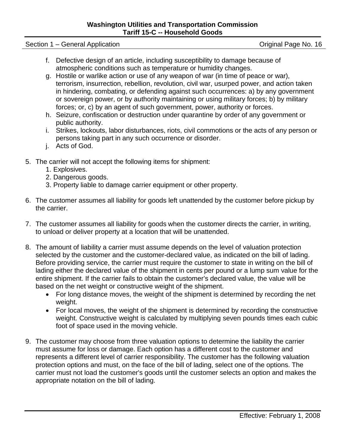Section 1 – General Application **Section 1 – General Application** Contract Contract Contract Contract Contract Contract Contract Contract Contract Contract Contract Contract Contract Contract Contract Contract Contract Con

- f. Defective design of an article, including susceptibility to damage because of atmospheric conditions such as temperature or humidity changes.
- g. Hostile or warlike action or use of any weapon of war (in time of peace or war), terrorism, insurrection, rebellion, revolution, civil war, usurped power, and action taken in hindering, combating, or defending against such occurrences: a) by any government or sovereign power, or by authority maintaining or using military forces; b) by military forces; or, c) by an agent of such government, power, authority or forces.
- h. Seizure, confiscation or destruction under quarantine by order of any government or public authority.
- i. Strikes, lockouts, labor disturbances, riots, civil commotions or the acts of any person or persons taking part in any such occurrence or disorder.
- j. Acts of God.
- 5. The carrier will not accept the following items for shipment:
	- 1. Explosives.
	- 2. Dangerous goods.
	- 3. Property liable to damage carrier equipment or other property.
- 6. The customer assumes all liability for goods left unattended by the customer before pickup by the carrier.
- 7. The customer assumes all liability for goods when the customer directs the carrier, in writing, to unload or deliver property at a location that will be unattended.
- 8. The amount of liability a carrier must assume depends on the level of valuation protection selected by the customer and the customer-declared value, as indicated on the bill of lading. Before providing service, the carrier must require the customer to state in writing on the bill of lading either the declared value of the shipment in cents per pound or a lump sum value for the entire shipment. If the carrier fails to obtain the customer's declared value, the value will be based on the net weight or constructive weight of the shipment.
	- For long distance moves, the weight of the shipment is determined by recording the net weight.
	- For local moves, the weight of the shipment is determined by recording the constructive weight. Constructive weight is calculated by multiplying seven pounds times each cubic foot of space used in the moving vehicle.
- 9. The customer may choose from three valuation options to determine the liability the carrier must assume for loss or damage. Each option has a different cost to the customer and represents a different level of carrier responsibility. The customer has the following valuation protection options and must, on the face of the bill of lading, select one of the options. The carrier must not load the customer's goods until the customer selects an option and makes the appropriate notation on the bill of lading.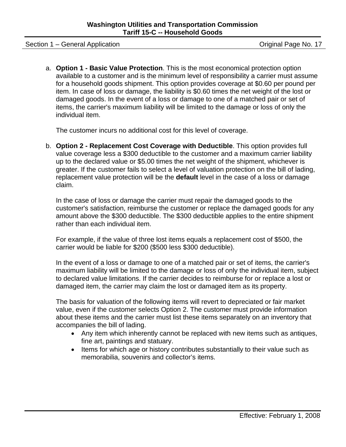Section 1 – General Application **Section 1 – General Application** Contract Contract Contract Contract Contract Contract Contract Contract Contract Contract Contract Contract Contract Contract Contract Contract Contract Con

a. **Option 1 - Basic Value Protection**. This is the most economical protection option available to a customer and is the minimum level of responsibility a carrier must assume for a household goods shipment. This option provides coverage at \$0.60 per pound per item. In case of loss or damage, the liability is \$0.60 times the net weight of the lost or damaged goods. In the event of a loss or damage to one of a matched pair or set of items, the carrier's maximum liability will be limited to the damage or loss of only the individual item.

The customer incurs no additional cost for this level of coverage.

b. **Option 2 - Replacement Cost Coverage with Deductible**. This option provides full value coverage less a \$300 deductible to the customer and a maximum carrier liability up to the declared value or \$5.00 times the net weight of the shipment, whichever is greater. If the customer fails to select a level of valuation protection on the bill of lading, replacement value protection will be the **default** level in the case of a loss or damage claim.

In the case of loss or damage the carrier must repair the damaged goods to the customer's satisfaction, reimburse the customer or replace the damaged goods for any amount above the \$300 deductible. The \$300 deductible applies to the entire shipment rather than each individual item.

For example, if the value of three lost items equals a replacement cost of \$500, the carrier would be liable for \$200 (\$500 less \$300 deductible).

In the event of a loss or damage to one of a matched pair or set of items, the carrier's maximum liability will be limited to the damage or loss of only the individual item, subject to declared value limitations. If the carrier decides to reimburse for or replace a lost or damaged item, the carrier may claim the lost or damaged item as its property.

The basis for valuation of the following items will revert to depreciated or fair market value, even if the customer selects Option 2. The customer must provide information about these items and the carrier must list these items separately on an inventory that accompanies the bill of lading.

- Any item which inherently cannot be replaced with new items such as antiques, fine art, paintings and statuary.
- Items for which age or history contributes substantially to their value such as memorabilia, souvenirs and collector's items.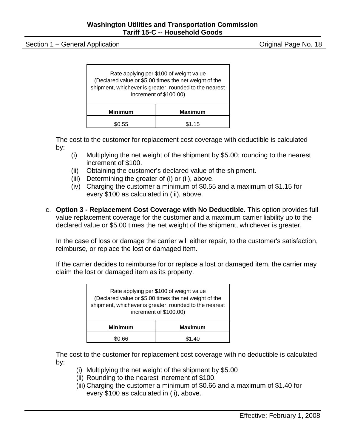Section 1 – General Application **Section** Critics of Critics And Critics And Critics And Critics And Critics And Critics And Critics And Critics And Critics And Critics And Critics And Critics And Critics And Critics And C

| Rate applying per \$100 of weight value<br>(Declared value or \$5.00 times the net weight of the<br>shipment, whichever is greater, rounded to the nearest<br>increment of \$100.00) |  |  |  |
|--------------------------------------------------------------------------------------------------------------------------------------------------------------------------------------|--|--|--|
| <b>Minimum</b><br><b>Maximum</b>                                                                                                                                                     |  |  |  |
| \$1 15                                                                                                                                                                               |  |  |  |

The cost to the customer for replacement cost coverage with deductible is calculated by:

- (i) Multiplying the net weight of the shipment by \$5.00; rounding to the nearest increment of \$100.
- (ii) Obtaining the customer's declared value of the shipment.
- (iii) Determining the greater of (i) or (ii), above.
- (iv) Charging the customer a minimum of \$0.55 and a maximum of \$1.15 for every \$100 as calculated in (iii), above.
- c. **Option 3 - Replacement Cost Coverage with No Deductible.** This option provides full value replacement coverage for the customer and a maximum carrier liability up to the declared value or \$5.00 times the net weight of the shipment, whichever is greater.

In the case of loss or damage the carrier will either repair, to the customer's satisfaction, reimburse, or replace the lost or damaged item.

If the carrier decides to reimburse for or replace a lost or damaged item, the carrier may claim the lost or damaged item as its property.

| Rate applying per \$100 of weight value<br>(Declared value or \$5.00 times the net weight of the<br>shipment, whichever is greater, rounded to the nearest<br>increment of \$100.00) |       |  |
|--------------------------------------------------------------------------------------------------------------------------------------------------------------------------------------|-------|--|
| <b>Minimum</b><br><b>Maximum</b>                                                                                                                                                     |       |  |
|                                                                                                                                                                                      | S1 40 |  |

The cost to the customer for replacement cost coverage with no deductible is calculated by:

- (i) Multiplying the net weight of the shipment by \$5.00
- (ii) Rounding to the nearest increment of \$100.
- (iii) Charging the customer a minimum of \$0.66 and a maximum of \$1.40 for every \$100 as calculated in (ii), above.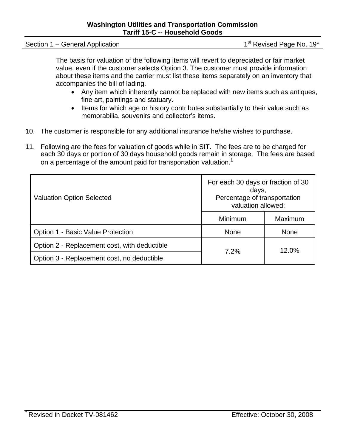Section 1 – General Application 1st Revised Page No. 19\*

The basis for valuation of the following items will revert to depreciated or fair market value, even if the customer selects Option 3. The customer must provide information about these items and the carrier must list these items separately on an inventory that accompanies the bill of lading.

- Any item which inherently cannot be replaced with new items such as antiques, fine art, paintings and statuary.
- Items for which age or history contributes substantially to their value such as memorabilia, souvenirs and collector's items.
- 10. The customer is responsible for any additional insurance he/she wishes to purchase.
- 11. Following are the fees for valuation of goods while in SIT. The fees are to be charged for each 30 days or portion of 30 days household goods remain in storage. The fees are based on a percentage of the amount paid for transportation valuation.**<sup>1</sup>**

| <b>Valuation Option Selected</b>             | For each 30 days or fraction of 30<br>days,<br>Percentage of transportation<br>valuation allowed: |                |  |
|----------------------------------------------|---------------------------------------------------------------------------------------------------|----------------|--|
|                                              | Minimum                                                                                           | <b>Maximum</b> |  |
| Option 1 - Basic Value Protection            | <b>None</b>                                                                                       | <b>None</b>    |  |
| Option 2 - Replacement cost, with deductible | 7.2%                                                                                              | 12.0%          |  |
| Option 3 - Replacement cost, no deductible   |                                                                                                   |                |  |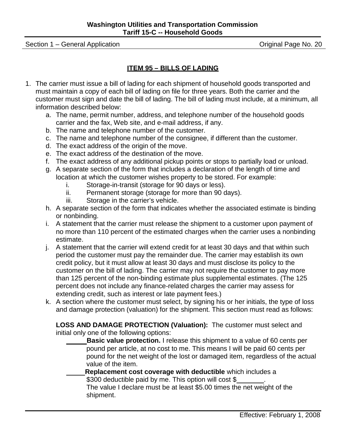Section 1 – General Application **Section** Critics of Critics Critics Critics Critics Critics Original Page No. 20

#### **ITEM 95 – BILLS OF LADING**

- 1. The carrier must issue a bill of lading for each shipment of household goods transported and must maintain a copy of each bill of lading on file for three years. Both the carrier and the customer must sign and date the bill of lading. The bill of lading must include, at a minimum, all information described below:
	- a. The name, permit number, address, and telephone number of the household goods carrier and the fax, Web site, and e-mail address, if any.
	- b. The name and telephone number of the customer.
	- c. The name and telephone number of the consignee, if different than the customer.
	- d. The exact address of the origin of the move.
	- e. The exact address of the destination of the move.
	- f. The exact address of any additional pickup points or stops to partially load or unload.
	- g. A separate section of the form that includes a declaration of the length of time and location at which the customer wishes property to be stored. For example:
		- i. Storage-in-transit (storage for 90 days or less).
		- ii. Permanent storage (storage for more than 90 days).
		- iii. Storage in the carrier's vehicle.
	- h. A separate section of the form that indicates whether the associated estimate is binding or nonbinding.
	- i. A statement that the carrier must release the shipment to a customer upon payment of no more than 110 percent of the estimated charges when the carrier uses a nonbinding estimate.
	- j. A statement that the carrier will extend credit for at least 30 days and that within such period the customer must pay the remainder due. The carrier may establish its own credit policy, but it must allow at least 30 days and must disclose its policy to the customer on the bill of lading. The carrier may not require the customer to pay more than 125 percent of the non-binding estimate plus supplemental estimates. (The 125 percent does not include any finance-related charges the carrier may assess for extending credit, such as interest or late payment fees.)
	- k. A section where the customer must select, by signing his or her initials, the type of loss and damage protection (valuation) for the shipment. This section must read as follows:

**LOSS AND DAMAGE PROTECTION (Valuation):** The customer must select and initial only one of the following options:

- **Basic value protection.** I release this shipment to a value of 60 cents per pound per article, at no cost to me. This means I will be paid 60 cents per pound for the net weight of the lost or damaged item, regardless of the actual value of the item.
- **Replacement cost coverage with deductible** which includes a

\$300 deductible paid by me. This option will cost \$

The value I declare must be at least \$5.00 times the net weight of the shipment.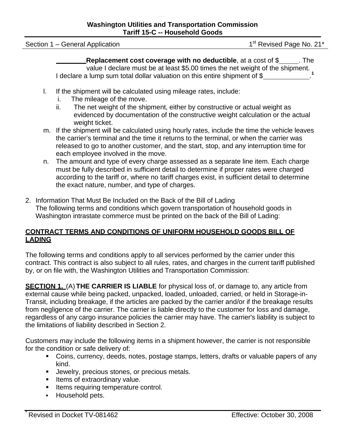Section 1 – General Application 1st Revised Page No. 21\*

**Replacement cost coverage with no deductible**, at a cost of \$ . The value I declare must be at least \$5.00 times the net weight of the shipment. I declare a lump sum total dollar valuation on this entire shipment of \$ **1**

- l. If the shipment will be calculated using mileage rates, include:
	- i. The mileage of the move.
	- ii. The net weight of the shipment, either by constructive or actual weight as evidenced by documentation of the constructive weight calculation or the actual weight ticket.
- m. If the shipment will be calculated using hourly rates, include the time the vehicle leaves the carrier's terminal and the time it returns to the terminal, or when the carrier was released to go to another customer, and the start, stop, and any interruption time for each employee involved in the move.
- n. The amount and type of every charge assessed as a separate line item. Each charge must be fully described in sufficient detail to determine if proper rates were charged according to the tariff or, where no tariff charges exist, in sufficient detail to determine the exact nature, number, and type of charges.
- 2. Information That Must Be Included on the Back of the Bill of Lading The following terms and conditions which govern transportation of household goods in Washington intrastate commerce must be printed on the back of the Bill of Lading:

#### **CONTRACT TERMS AND CONDITIONS OF UNIFORM HOUSEHOLD GOODS BILL OF LADING**

The following terms and conditions apply to all services performed by the carrier under this contract. This contract is also subject to all rules, rates, and charges in the current tariff published by, or on file with, the Washington Utilities and Transportation Commission:

**SECTION 1.** (A) **THE CARRIER IS LIABLE** for physical loss of, or damage to, any article from external cause while being packed, unpacked, loaded, unloaded, carried, or held in Storage-in-Transit, including breakage, if the articles are packed by the carrier and/or if the breakage results from negligence of the carrier. The carrier is liable directly to the customer for loss and damage, regardless of any cargo insurance policies the carrier may have. The carrier's liability is subject to the limitations of liability described in Section 2.

Customers may include the following items in a shipment however, the carrier is not responsible for the condition or safe delivery of:

- Coins, currency, deeds, notes, postage stamps, letters, drafts or valuable papers of any kind.
- **Jewelry, precious stones, or precious metals.**
- **If thems of extraordinary value.**
- **Items requiring temperature control.**
- **Household pets.**

\*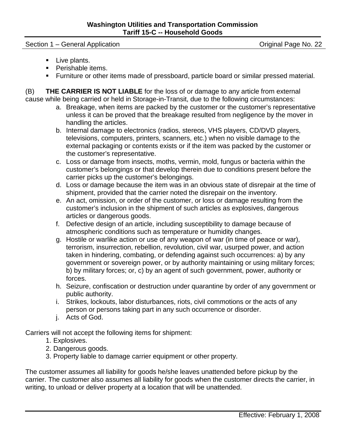Section 1 – General Application **Section 1 – General Application** Contract Contract Contract Contract Contract Contract Contract Contract Contract Contract Contract Contract Contract Contract Contract Contract Contract Con

- Live plants.
- **Perishable items.**
- Furniture or other items made of pressboard, particle board or similar pressed material.

(B) **THE CARRIER IS NOT LIABLE** for the loss of or damage to any article from external cause while being carried or held in Storage-in-Transit, due to the following circumstances:

- a. Breakage, when items are packed by the customer or the customer's representative unless it can be proved that the breakage resulted from negligence by the mover in handling the articles.
- b. Internal damage to electronics (radios, stereos, VHS players, CD/DVD players, televisions, computers, printers, scanners, etc.) when no visible damage to the external packaging or contents exists or if the item was packed by the customer or the customer's representative.
- c. Loss or damage from insects, moths, vermin, mold, fungus or bacteria within the customer's belongings or that develop therein due to conditions present before the carrier picks up the customer's belongings.
- d. Loss or damage because the item was in an obvious state of disrepair at the time of shipment, provided that the carrier noted the disrepair on the inventory.
- e. An act, omission, or order of the customer, or loss or damage resulting from the customer's inclusion in the shipment of such articles as explosives, dangerous articles or dangerous goods.
- f. Defective design of an article, including susceptibility to damage because of atmospheric conditions such as temperature or humidity changes.
- g. Hostile or warlike action or use of any weapon of war (in time of peace or war), terrorism, insurrection, rebellion, revolution, civil war, usurped power, and action taken in hindering, combating, or defending against such occurrences: a) by any government or sovereign power, or by authority maintaining or using military forces; b) by military forces; or, c) by an agent of such government, power, authority or forces.
- h. Seizure, confiscation or destruction under quarantine by order of any government or public authority.
- i. Strikes, lockouts, labor disturbances, riots, civil commotions or the acts of any person or persons taking part in any such occurrence or disorder.
- j. Acts of God.

Carriers will not accept the following items for shipment:

- 1. Explosives.
- 2. Dangerous goods.
- 3. Property liable to damage carrier equipment or other property.

The customer assumes all liability for goods he/she leaves unattended before pickup by the carrier. The customer also assumes all liability for goods when the customer directs the carrier, in writing, to unload or deliver property at a location that will be unattended.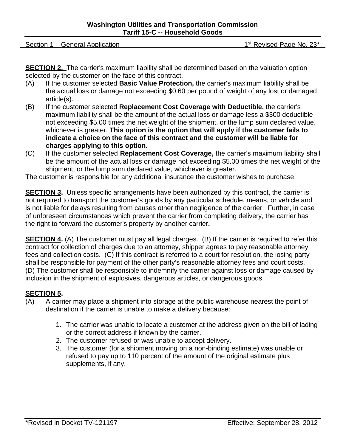Section 1 – General Application 1st Revised Page No. 23\*

**SECTION 2.** The carrier's maximum liability shall be determined based on the valuation option selected by the customer on the face of this contract.

- (A) If the customer selected **Basic Value Protection,** the carrier's maximum liability shall be the actual loss or damage not exceeding \$0.60 per pound of weight of any lost or damaged article(s).
- (B) If the customer selected **Replacement Cost Coverage with Deductible,** the carrier's maximum liability shall be the amount of the actual loss or damage less a \$300 deductible not exceeding \$5.00 times the net weight of the shipment, or the lump sum declared value, whichever is greater. **This option is the option that will apply if the customer fails to indicate a choice on the face of this contract and the customer will be liable for charges applying to this option.**
- (C) If the customer selected **Replacement Cost Coverage,** the carrier's maximum liability shall be the amount of the actual loss or damage not exceeding \$5.00 times the net weight of the shipment, or the lump sum declared value, whichever is greater.

The customer is responsible for any additional insurance the customer wishes to purchase.

**SECTION 3.** Unless specific arrangements have been authorized by this contract, the carrier is not required to transport the customer's goods by any particular schedule, means, or vehicle and is not liable for delays resulting from causes other than negligence of the carrier. Further, in case of unforeseen circumstances which prevent the carrier from completing delivery, the carrier has the right to forward the customer's property by another carrier**.**

**SECTION 4.** (A) The customer must pay all legal charges. (B) If the carrier is required to refer this contract for collection of charges due to an attorney, shipper agrees to pay reasonable attorney fees and collection costs. (C) If this contract is referred to a court for resolution, the losing party shall be responsible for payment of the other party's reasonable attorney fees and court costs. (D) The customer shall be responsible to indemnify the carrier against loss or damage caused by inclusion in the shipment of explosives, dangerous articles, or dangerous goods.

#### **SECTION 5.**

- (A) A carrier may place a shipment into storage at the public warehouse nearest the point of destination if the carrier is unable to make a delivery because:
	- 1. The carrier was unable to locate a customer at the address given on the bill of lading or the correct address if known by the carrier.
	- 2. The customer refused or was unable to accept delivery.
	- 3. The customer (for a shipment moving on a non-binding estimate) was unable or refused to pay up to 110 percent of the amount of the original estimate plus supplements, if any.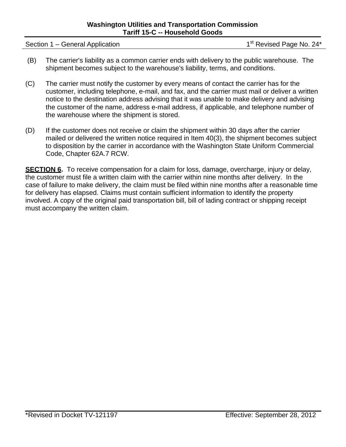Section 1 – General Application  $1 -$  General Application  $1<sup>st</sup>$  Revised Page No. 24\*

- (B) The carrier's liability as a common carrier ends with delivery to the public warehouse. The shipment becomes subject to the warehouse's liability, terms, and conditions.
- (C) The carrier must notify the customer by every means of contact the carrier has for the customer, including telephone, e-mail, and fax, and the carrier must mail or deliver a written notice to the destination address advising that it was unable to make delivery and advising the customer of the name, address e-mail address, if applicable, and telephone number of the warehouse where the shipment is stored.
- (D) If the customer does not receive or claim the shipment within 30 days after the carrier mailed or delivered the written notice required in Item 40(3), the shipment becomes subject to disposition by the carrier in accordance with the Washington State Uniform Commercial Code, Chapter 62A.7 RCW.

**SECTION 6.** To receive compensation for a claim for loss, damage, overcharge, injury or delay, the customer must file a written claim with the carrier within nine months after delivery. In the case of failure to make delivery, the claim must be filed within nine months after a reasonable time for delivery has elapsed. Claims must contain sufficient information to identify the property involved. A copy of the original paid transportation bill, bill of lading contract or shipping receipt must accompany the written claim.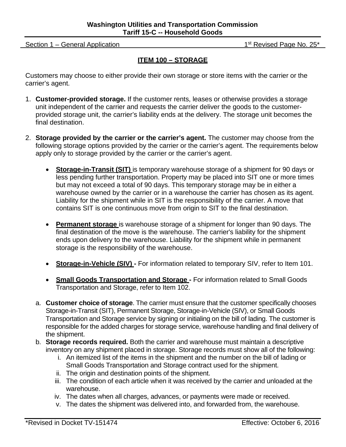Section 1 – General Application 1st Revised Page No. 25\*

#### **ITEM 100 – STORAGE**

Customers may choose to either provide their own storage or store items with the carrier or the carrier's agent.

- 1. **Customer-provided storage.** If the customer rents, leases or otherwise provides a storage unit independent of the carrier and requests the carrier deliver the goods to the customerprovided storage unit, the carrier's liability ends at the delivery. The storage unit becomes the final destination.
- 2. **Storage provided by the carrier or the carrier's agent.** The customer may choose from the following storage options provided by the carrier or the carrier's agent. The requirements below apply only to storage provided by the carrier or the carrier's agent.
	- **Storage-in-Transit (SIT)** is temporary warehouse storage of a shipment for 90 days or less pending further transportation. Property may be placed into SIT one or more times but may not exceed a total of 90 days. This temporary storage may be in either a warehouse owned by the carrier or in a warehouse the carrier has chosen as its agent. Liability for the shipment while in SIT is the responsibility of the carrier. A move that contains SIT is one continuous move from origin to SIT to the final destination.
	- **Permanent storage** is warehouse storage of a shipment for longer than 90 days. The final destination of the move is the warehouse. The carrier's liability for the shipment ends upon delivery to the warehouse. Liability for the shipment while in permanent storage is the responsibility of the warehouse.
	- **Storage-in-Vehicle (SIV)** For information related to temporary SIV, refer to Item 101.
	- **Small Goods Transportation and Storage -** For information related to Small Goods Transportation and Storage, refer to Item 102.
	- a. **Customer choice of storage**. The carrier must ensure that the customer specifically chooses Storage-in-Transit (SIT), Permanent Storage, Storage-in-Vehicle (SIV), or Small Goods Transportation and Storage service by signing or initialing on the bill of lading. The customer is responsible for the added charges for storage service, warehouse handling and final delivery of the shipment.
	- b. **Storage records required.** Both the carrier and warehouse must maintain a descriptive inventory on any shipment placed in storage. Storage records must show all of the following:
		- i. An itemized list of the items in the shipment and the number on the bill of lading or Small Goods Transportation and Storage contract used for the shipment.
		- ii. The origin and destination points of the shipment.
		- iii. The condition of each article when it was received by the carrier and unloaded at the warehouse.
		- iv. The dates when all charges, advances, or payments were made or received.
		- v. The dates the shipment was delivered into, and forwarded from, the warehouse.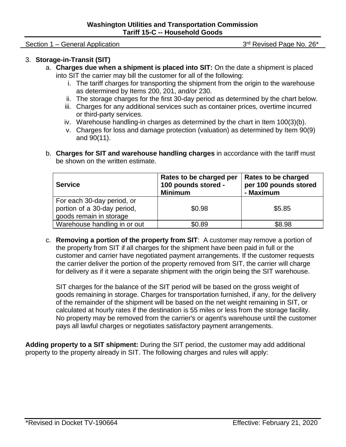Section 1 – General Application 3rd Revised Page No. 26\*

#### 3. **Storage-in-Transit (SIT)**

- a. **Charges due when a shipment is placed into SIT:** On the date a shipment is placed into SIT the carrier may bill the customer for all of the following:
	- i. The tariff charges for transporting the shipment from the origin to the warehouse as determined by Items 200, 201, and/or 230.
	- ii. The storage charges for the first 30-day period as determined by the chart below.
	- iii. Charges for any additional services such as container prices, overtime incurred or third-party services.
	- iv. Warehouse handling-in charges as determined by the chart in Item 100(3)(b).
	- v. Charges for loss and damage protection (valuation) as determined by Item 90(9) and 90(11).
- b. **Charges for SIT and warehouse handling charges** in accordance with the tariff must be shown on the written estimate.

| <b>Service</b>                                                                       | Rates to be charged per<br>100 pounds stored -<br><b>Minimum</b> | Rates to be charged<br>per 100 pounds stored<br>- Maximum |
|--------------------------------------------------------------------------------------|------------------------------------------------------------------|-----------------------------------------------------------|
| For each 30-day period, or<br>portion of a 30-day period,<br>goods remain in storage | \$0.98                                                           | \$5.85                                                    |
| Warehouse handling in or out                                                         | \$0.89                                                           | \$8.98                                                    |

c. **Removing a portion of the property from SIT**: A customer may remove a portion of the property from SIT if all charges for the shipment have been paid in full or the customer and carrier have negotiated payment arrangements. If the customer requests the carrier deliver the portion of the property removed from SIT, the carrier will charge for delivery as if it were a separate shipment with the origin being the SIT warehouse.

SIT charges for the balance of the SIT period will be based on the gross weight of goods remaining in storage. Charges for transportation furnished, if any, for the delivery of the remainder of the shipment will be based on the net weight remaining in SIT, or calculated at hourly rates if the destination is 55 miles or less from the storage facility. No property may be removed from the carrier's or agent's warehouse until the customer pays all lawful charges or negotiates satisfactory payment arrangements.

**Adding property to a SIT shipment:** During the SIT period, the customer may add additional property to the property already in SIT. The following charges and rules will apply: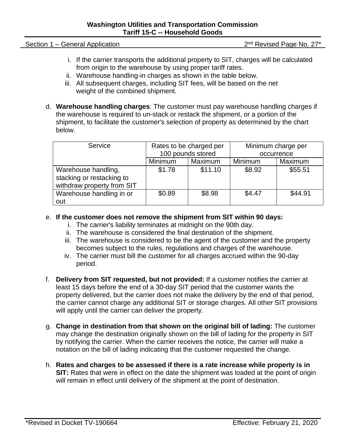Section 1 – General Application 2nd Revised Page No. 27\*

- i. If the carrier transports the additional property to SIT, charges will be calculated from origin to the warehouse by using proper tariff rates.
- ii. Warehouse handling-in charges as shown in the table below.
- iii. All subsequent charges, including SIT fees, will be based on the net weight of the combined shipment.
- d. **Warehouse handling charges**: The customer must pay warehouse handling charges if the warehouse is required to un-stack or restack the shipment, or a portion of the shipment, to facilitate the customer's selection of property as determined by the chart below.

| Service                                                                        | Rates to be charged per |         | Minimum charge per |         |
|--------------------------------------------------------------------------------|-------------------------|---------|--------------------|---------|
|                                                                                | 100 pounds stored       |         | occurrence         |         |
|                                                                                | Maximum<br>Minimum      |         | <b>Minimum</b>     | Maximum |
| Warehouse handling,<br>stacking or restacking to<br>withdraw property from SIT | \$1.78                  | \$11.10 | \$8.92             | \$55.51 |
| Warehouse handling in or<br>out                                                | \$0.89                  | \$8.98  | \$4.47             | \$44.91 |

#### e. **If the customer does not remove the shipment from SIT within 90 days:**

- i. The carrier's liability terminates at midnight on the 90th day.
- ii. The warehouse is considered the final destination of the shipment.
- iii. The warehouse is considered to be the agent of the customer and the property becomes subject to the rules, regulations and charges of the warehouse.
- iv. The carrier must bill the customer for all charges accrued within the 90-day period.
- f. **Delivery from SIT requested, but not provided:** If a customer notifies the carrier at least 15 days before the end of a 30-day SIT period that the customer wants the property delivered, but the carrier does not make the delivery by the end of that period, the carrier cannot charge any additional SIT or storage charges. All other SIT provisions will apply until the carrier can deliver the property.
- g. **Change in destination from that shown on the original bill of lading:** The customer may change the destination originally shown on the bill of lading for the property in SIT by notifying the carrier. When the carrier receives the notice, the carrier will make a notation on the bill of lading indicating that the customer requested the change.
- h. **Rates and charges to be assessed if there is a rate increase while property is in SIT:** Rates that were in effect on the date the shipment was loaded at the point of origin will remain in effect until delivery of the shipment at the point of destination.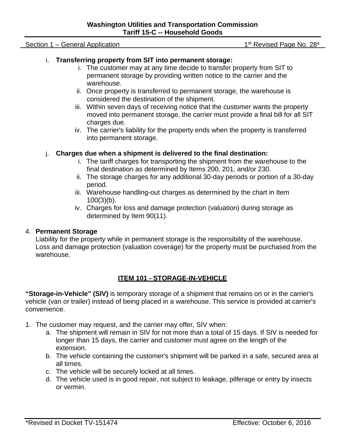#### Section 1 – General Application 1 – Section 1 – General Application 1st Revised Page No. 28\*

#### i. **Transferring property from SIT into permanent storage:**

- i. The customer may at any time decide to transfer property from SIT to permanent storage by providing written notice to the carrier and the warehouse.
- ii. Once property is transferred to permanent storage, the warehouse is considered the destination of the shipment.
- iii. Within seven days of receiving notice that the customer wants the property moved into permanent storage, the carrier must provide a final bill for all SIT charges due.
- iv. The carrier's liability for the property ends when the property is transferred into permanent storage.

#### j. **Charges due when a shipment is delivered to the final destination:**

- i. The tariff charges for transporting the shipment from the warehouse to the final destination as determined by Items 200, 201, and/or 230.
- ii. The storage charges for any additional 30-day periods or portion of a 30-day period.
- iii. Warehouse handling-out charges as determined by the chart in Item 100(3)(b).
- iv. Charges for loss and damage protection (valuation) during storage as determined by Item 90(11).

#### 4. **Permanent Storage**

Liability for the property while in permanent storage is the responsibility of the warehouse. Loss and damage protection (valuation coverage) for the property must be purchased from the warehouse.

#### **ITEM 101 - STORAGE-IN-VEHICLE**

**"Storage-in-Vehicle" (SIV)** is temporary storage of a shipment that remains on or in the carrier's vehicle (van or trailer) instead of being placed in a warehouse. This service is provided at carrier's convenience.

- 1. The customer may request, and the carrier may offer, SIV when:
	- a. The shipment will remain in SIV for not more than a total of 15 days. If SIV is needed for longer than 15 days, the carrier and customer must agree on the length of the extension.
	- b. The vehicle containing the customer's shipment will be parked in a safe, secured area at all times.
	- c. The vehicle will be securely locked at all times.
	- d. The vehicle used is in good repair, not subject to leakage, pilferage or entry by insects or vermin.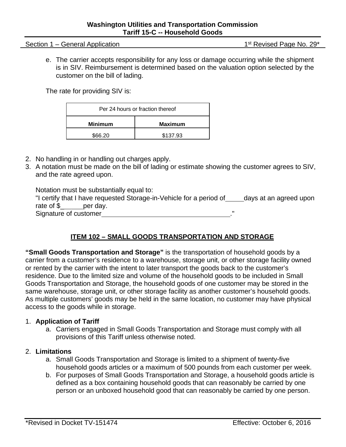Section 1 – General Application 1st Revised Page No. 29\*

e. The carrier accepts responsibility for any loss or damage occurring while the shipment is in SIV. Reimbursement is determined based on the valuation option selected by the customer on the bill of lading.

The rate for providing SIV is:

| Per 24 hours or fraction thereof |          |  |
|----------------------------------|----------|--|
| <b>Minimum</b><br><b>Maximum</b> |          |  |
| \$66.20                          | \$137.93 |  |

- 2. No handling in or handling out charges apply.
- 3. A notation must be made on the bill of lading or estimate showing the customer agrees to SIV, and the rate agreed upon.

| Notation must be substantially equal to:                            |                        |
|---------------------------------------------------------------------|------------------------|
| "I certify that I have requested Storage-in-Vehicle for a period of | days at an agreed upon |
| rate of \$<br>per dav.                                              |                        |
| Signature of customer                                               | ш                      |

#### **ITEM 102 – SMALL GOODS TRANSPORTATION AND STORAGE**

**"Small Goods Transportation and Storage"** is the transportation of household goods by a carrier from a customer's residence to a warehouse, storage unit, or other storage facility owned or rented by the carrier with the intent to later transport the goods back to the customer's residence. Due to the limited size and volume of the household goods to be included in Small Goods Transportation and Storage, the household goods of one customer may be stored in the same warehouse, storage unit, or other storage facility as another customer's household goods. As multiple customers' goods may be held in the same location, no customer may have physical access to the goods while in storage.

#### 1. **Application of Tariff**

a. Carriers engaged in Small Goods Transportation and Storage must comply with all provisions of this Tariff unless otherwise noted.

#### 2. **Limitations**

- a. Small Goods Transportation and Storage is limited to a shipment of twenty-five household goods articles or a maximum of 500 pounds from each customer per week.
- b. For purposes of Small Goods Transportation and Storage, a household goods article is defined as a box containing household goods that can reasonably be carried by one person or an unboxed household good that can reasonably be carried by one person.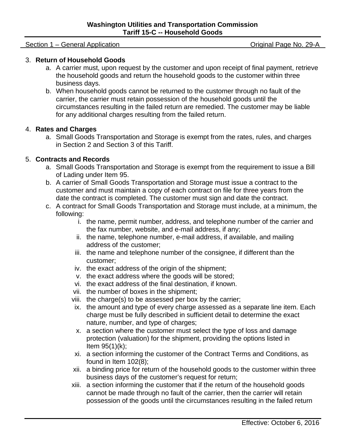#### Section 1 – General Application **Section 1 – General Application** Contract Contract Contract Contract Contract Contract Contract Contract Contract Contract Contract Contract Contract Contract Contract Contract Contract Con

#### 3. **Return of Household Goods**

- a. A carrier must, upon request by the customer and upon receipt of final payment, retrieve the household goods and return the household goods to the customer within three business days.
- b. When household goods cannot be returned to the customer through no fault of the carrier, the carrier must retain possession of the household goods until the circumstances resulting in the failed return are remedied. The customer may be liable for any additional charges resulting from the failed return.

#### 4. **Rates and Charges**

a. Small Goods Transportation and Storage is exempt from the rates, rules, and charges in Section 2 and Section 3 of this Tariff.

#### 5. **Contracts and Records**

- a. Small Goods Transportation and Storage is exempt from the requirement to issue a Bill of Lading under Item 95.
- b. A carrier of Small Goods Transportation and Storage must issue a contract to the customer and must maintain a copy of each contract on file for three years from the date the contract is completed. The customer must sign and date the contract.
- c. A contract for Small Goods Transportation and Storage must include, at a minimum, the following:
	- i. the name, permit number, address, and telephone number of the carrier and the fax number, website, and e-mail address, if any;
	- ii. the name, telephone number, e-mail address, if available, and mailing address of the customer;
	- iii. the name and telephone number of the consignee, if different than the customer;
	- iv. the exact address of the origin of the shipment;
	- v. the exact address where the goods will be stored;
	- vi. the exact address of the final destination, if known.
	- vii. the number of boxes in the shipment;
	- viii. the charge(s) to be assessed per box by the carrier;
	- ix. the amount and type of every charge assessed as a separate line item. Each charge must be fully described in sufficient detail to determine the exact nature, number, and type of charges;
	- x. a section where the customer must select the type of loss and damage protection (valuation) for the shipment, providing the options listed in Item 95(1)(k);
	- xi. a section informing the customer of the Contract Terms and Conditions, as found in Item 102(8);
	- xii. a binding price for return of the household goods to the customer within three business days of the customer's request for return;
	- xiii. a section informing the customer that if the return of the household goods cannot be made through no fault of the carrier, then the carrier will retain possession of the goods until the circumstances resulting in the failed return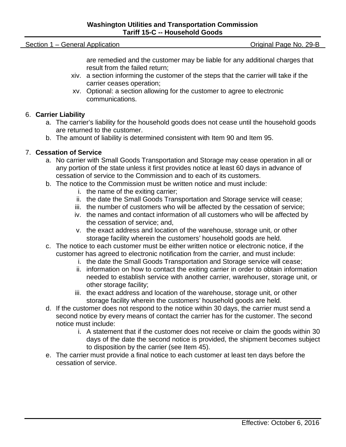Section 1 – General Application **Section 1 – General Application** Contract Contract Contract Contract Contract Contract Contract Contract Contract Contract Contract Contract Contract Contract Contract Contract Contract Con

are remedied and the customer may be liable for any additional charges that result from the failed return;

- xiv. a section informing the customer of the steps that the carrier will take if the carrier ceases operation;
- xv. Optional: a section allowing for the customer to agree to electronic communications.

#### 6. **Carrier Liability**

- a. The carrier's liability for the household goods does not cease until the household goods are returned to the customer.
- b. The amount of liability is determined consistent with Item 90 and Item 95.

#### 7. **Cessation of Service**

- a. No carrier with Small Goods Transportation and Storage may cease operation in all or any portion of the state unless it first provides notice at least 60 days in advance of cessation of service to the Commission and to each of its customers.
- b. The notice to the Commission must be written notice and must include:
	- i. the name of the exiting carrier;
	- ii. the date the Small Goods Transportation and Storage service will cease;
	- iii. the number of customers who will be affected by the cessation of service;
	- iv. the names and contact information of all customers who will be affected by the cessation of service; and,
	- v. the exact address and location of the warehouse, storage unit, or other storage facility wherein the customers' household goods are held.
- c. The notice to each customer must be either written notice or electronic notice, if the customer has agreed to electronic notification from the carrier, and must include:
	- i. the date the Small Goods Transportation and Storage service will cease;
	- ii. information on how to contact the exiting carrier in order to obtain information needed to establish service with another carrier, warehouser, storage unit, or other storage facility;
	- iii. the exact address and location of the warehouse, storage unit, or other storage facility wherein the customers' household goods are held.
- d. If the customer does not respond to the notice within 30 days, the carrier must send a second notice by every means of contact the carrier has for the customer. The second notice must include:
	- i. A statement that if the customer does not receive or claim the goods within 30 days of the date the second notice is provided, the shipment becomes subject to disposition by the carrier (see Item 45).
- e. The carrier must provide a final notice to each customer at least ten days before the cessation of service.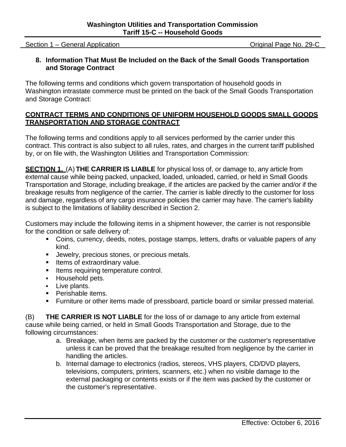Section 1 – General Application Contraction Contraction Contraction Contraction Contraction Contraction Contraction

#### **8. Information That Must Be Included on the Back of the Small Goods Transportation and Storage Contract**

The following terms and conditions which govern transportation of household goods in Washington intrastate commerce must be printed on the back of the Small Goods Transportation and Storage Contract:

#### **CONTRACT TERMS AND CONDITIONS OF UNIFORM HOUSEHOLD GOODS SMALL GOODS TRANSPORTATION AND STORAGE CONTRACT**

The following terms and conditions apply to all services performed by the carrier under this contract. This contract is also subject to all rules, rates, and charges in the current tariff published by, or on file with, the Washington Utilities and Transportation Commission:

**SECTION 1.** (A) **THE CARRIER IS LIABLE** for physical loss of, or damage to, any article from external cause while being packed, unpacked, loaded, unloaded, carried, or held in Small Goods Transportation and Storage, including breakage, if the articles are packed by the carrier and/or if the breakage results from negligence of the carrier. The carrier is liable directly to the customer for loss and damage, regardless of any cargo insurance policies the carrier may have. The carrier's liability is subject to the limitations of liability described in Section 2.

Customers may include the following items in a shipment however, the carrier is not responsible for the condition or safe delivery of:

- Coins, currency, deeds, notes, postage stamps, letters, drafts or valuable papers of any kind.
- **Jewelry, precious stones, or precious metals.**
- Items of extraordinary value.
- **Items requiring temperature control.**
- **Household pets.**
- **Live plants.**
- **Perishable items.**
- Furniture or other items made of pressboard, particle board or similar pressed material.

(B) **THE CARRIER IS NOT LIABLE** for the loss of or damage to any article from external cause while being carried, or held in Small Goods Transportation and Storage, due to the following circumstances:

- a. Breakage, when items are packed by the customer or the customer's representative unless it can be proved that the breakage resulted from negligence by the carrier in handling the articles.
- b. Internal damage to electronics (radios, stereos, VHS players, CD/DVD players, televisions, computers, printers, scanners, etc.) when no visible damage to the external packaging or contents exists or if the item was packed by the customer or the customer's representative.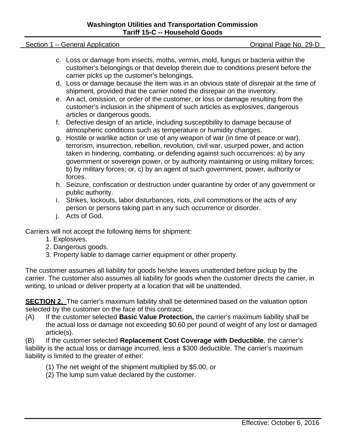#### **Washington Utilities and Transportation Commission Tariff 15-C -- Household Goods**

#### Section 1 – General Application **Section 1 – General Application** Contract Contract Contract Contract Contract Contract Contract Contract Contract Contract Contract Contract Contract Contract Contract Contract Contract Con

- c. Loss or damage from insects, moths, vermin, mold, fungus or bacteria within the customer's belongings or that develop therein due to conditions present before the carrier picks up the customer's belongings.
- d. Loss or damage because the item was in an obvious state of disrepair at the time of shipment, provided that the carrier noted the disrepair on the inventory.
- e. An act, omission, or order of the customer, or loss or damage resulting from the customer's inclusion in the shipment of such articles as explosives, dangerous articles or dangerous goods.
- f. Defective design of an article, including susceptibility to damage because of atmospheric conditions such as temperature or humidity changes.
- g. Hostile or warlike action or use of any weapon of war (in time of peace or war), terrorism, insurrection, rebellion, revolution, civil war, usurped power, and action taken in hindering, combating, or defending against such occurrences: a) by any government or sovereign power, or by authority maintaining or using military forces; b) by military forces; or, c) by an agent of such government, power, authority or forces.
- h. Seizure, confiscation or destruction under quarantine by order of any government or public authority.
- i. Strikes, lockouts, labor disturbances, riots, civil commotions or the acts of any person or persons taking part in any such occurrence or disorder.
- j. Acts of God.

Carriers will not accept the following items for shipment:

- 1. Explosives.
- 2. Dangerous goods.
- 3. Property liable to damage carrier equipment or other property.

The customer assumes all liability for goods he/she leaves unattended before pickup by the carrier. The customer also assumes all liability for goods when the customer directs the carrier, in writing, to unload or deliver property at a location that will be unattended.

**SECTION 2.** The carrier's maximum liability shall be determined based on the valuation option selected by the customer on the face of this contract.

(A) If the customer selected **Basic Value Protection,** the carrier's maximum liability shall be the actual loss or damage not exceeding \$0.60 per pound of weight of any lost or damaged article(s).

(B) If the customer selected **Replacement Cost Coverage with Deductible**, the carrier's liability is the actual loss or damage incurred, less a \$300 deductible. The carrier's maximum liability is limited to the greater of either:

- (1) The net weight of the shipment multiplied by \$5.00, or
- (2) The lump sum value declared by the customer.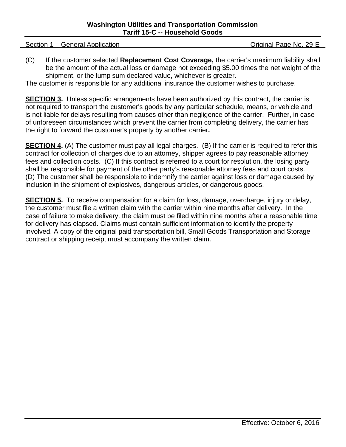Section 1 – General Application **Section 1 – General Application** Contract Contract Contract Contract Contract Contract Contract Contract Contract Contract Contract Contract Contract Contract Contract Contract Contract Con

(C) If the customer selected **Replacement Cost Coverage,** the carrier's maximum liability shall be the amount of the actual loss or damage not exceeding \$5.00 times the net weight of the shipment, or the lump sum declared value, whichever is greater.

The customer is responsible for any additional insurance the customer wishes to purchase.

**SECTION 3.** Unless specific arrangements have been authorized by this contract, the carrier is not required to transport the customer's goods by any particular schedule, means, or vehicle and is not liable for delays resulting from causes other than negligence of the carrier. Further, in case of unforeseen circumstances which prevent the carrier from completing delivery, the carrier has the right to forward the customer's property by another carrier**.**

**SECTION 4.** (A) The customer must pay all legal charges. (B) If the carrier is required to refer this contract for collection of charges due to an attorney, shipper agrees to pay reasonable attorney fees and collection costs. (C) If this contract is referred to a court for resolution, the losing party shall be responsible for payment of the other party's reasonable attorney fees and court costs. (D) The customer shall be responsible to indemnify the carrier against loss or damage caused by inclusion in the shipment of explosives, dangerous articles, or dangerous goods.

**SECTION 5.** To receive compensation for a claim for loss, damage, overcharge, injury or delay, the customer must file a written claim with the carrier within nine months after delivery. In the case of failure to make delivery, the claim must be filed within nine months after a reasonable time for delivery has elapsed. Claims must contain sufficient information to identify the property involved. A copy of the original paid transportation bill, Small Goods Transportation and Storage contract or shipping receipt must accompany the written claim.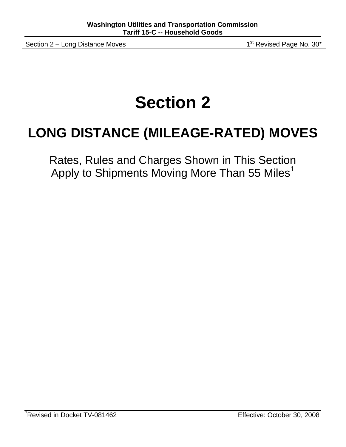Section 2 – Long Distance Moves 1st Revised Page No. 30\*

## **Section 2**

### **LONG DISTANCE (MILEAGE-RATED) MOVES**

Rates, Rules and Charges Shown in This Section Apply to Shipments Moving More Than 55 Miles<sup>1</sup>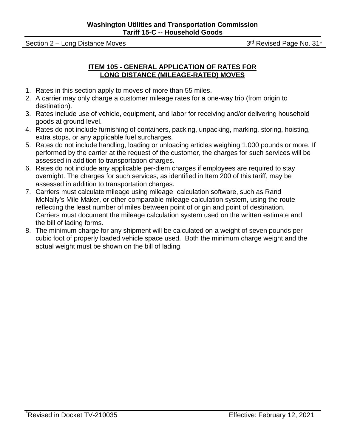Section 2 – Long Distance Moves 3rd Revised Page No. 31\*

#### **ITEM 105 - GENERAL APPLICATION OF RATES FOR LONG DISTANCE (MILEAGE-RATED) MOVES**

- 1. Rates in this section apply to moves of more than 55 miles.
- 2. A carrier may only charge a customer mileage rates for a one-way trip (from origin to destination).
- 3. Rates include use of vehicle, equipment, and labor for receiving and/or delivering household goods at ground level.
- 4. Rates do not include furnishing of containers, packing, unpacking, marking, storing, hoisting, extra stops, or any applicable fuel surcharges.
- 5. Rates do not include handling, loading or unloading articles weighing 1,000 pounds or more. If performed by the carrier at the request of the customer, the charges for such services will be assessed in addition to transportation charges.
- 6. Rates do not include any applicable per-diem charges if employees are required to stay overnight. The charges for such services, as identified in Item 200 of this tariff, may be assessed in addition to transportation charges.
- 7. Carriers must calculate mileage using mileage calculation software, such as Rand McNally's Mile Maker, or other comparable mileage calculation system, using the route reflecting the least number of miles between point of origin and point of destination. Carriers must document the mileage calculation system used on the written estimate and the bill of lading forms.
- 8. The minimum charge for any shipment will be calculated on a weight of seven pounds per cubic foot of properly loaded vehicle space used. Both the minimum charge weight and the actual weight must be shown on the bill of lading.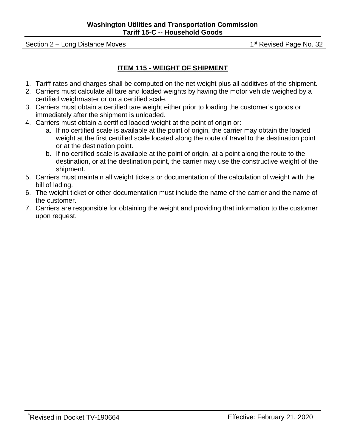Section 2 – Long Distance Moves 1st Revised Page No. 32

#### **ITEM 115 - WEIGHT OF SHIPMENT**

- 1. Tariff rates and charges shall be computed on the net weight plus all additives of the shipment.
- 2. Carriers must calculate all tare and loaded weights by having the motor vehicle weighed by a certified weighmaster or on a certified scale.
- 3. Carriers must obtain a certified tare weight either prior to loading the customer's goods or immediately after the shipment is unloaded.
- 4. Carriers must obtain a certified loaded weight at the point of origin or:
	- a. If no certified scale is available at the point of origin, the carrier may obtain the loaded weight at the first certified scale located along the route of travel to the destination point or at the destination point.
	- b. If no certified scale is available at the point of origin, at a point along the route to the destination, or at the destination point, the carrier may use the constructive weight of the shipment.
- 5. Carriers must maintain all weight tickets or documentation of the calculation of weight with the bill of lading.
- 6. The weight ticket or other documentation must include the name of the carrier and the name of the customer.
- 7. Carriers are responsible for obtaining the weight and providing that information to the customer upon request.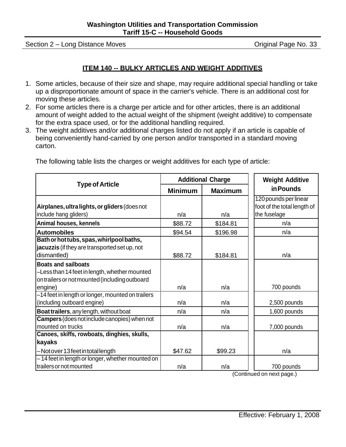Section 2 – Long Distance Moves **Section 2 – Long Distance Moves Original Page No. 33** 

#### **ITEM 140 -- BULKY ARTICLES AND WEIGHT ADDITIVES**

- 1. Some articles, because of their size and shape, may require additional special handling or take up a disproportionate amount of space in the carrier's vehicle. There is an additional cost for moving these articles.
- 2. For some articles there is a charge per article and for other articles, there is an additional amount of weight added to the actual weight of the shipment (weight additive) to compensate for the extra space used, or for the additional handling required.
- 3. The weight additives and/or additional charges listed do not apply if an article is capable of being conveniently hand-carried by one person and/or transported in a standard moving carton.

|                                                                                                                                          |                | <b>Additional Charge</b> | <b>Weight Additive</b>                                               |  |
|------------------------------------------------------------------------------------------------------------------------------------------|----------------|--------------------------|----------------------------------------------------------------------|--|
| <b>Type of Article</b>                                                                                                                   | <b>Minimum</b> | <b>Maximum</b>           | in Pounds                                                            |  |
| Airplanes, ultra lights, or gliders (does not<br>include hang gliders)                                                                   | n/a            | n/a                      | 120 pounds per linear<br>foot of the total length of<br>the fuselage |  |
| Animal houses, kennels                                                                                                                   | \$88.72        | \$184.81                 | n/a                                                                  |  |
| <b>Automobiles</b>                                                                                                                       | \$94.54        | \$196.98                 | n/a                                                                  |  |
| Bath or hot tubs, spas, whirlpool baths,<br>jacuzzis (if they are transported set up, not<br>dismantled)                                 | \$88.72        | \$184.81                 | n/a                                                                  |  |
| <b>Boats and sailboats</b><br>-Less than 14 feet in length, whether mounted<br>on trailers or not mounted (including outboard<br>engine) | n/a            | n/a                      | 700 pounds                                                           |  |
| -14 feet in length or longer, mounted on trailers<br>(including outboard engine)                                                         | n/a            | n/a                      | 2,500 pounds                                                         |  |
| Boat trailers, any length, without boat                                                                                                  | n/a            | n/a                      | 1,600 pounds                                                         |  |
| Campers (does not include canopies) when not<br>mounted on trucks                                                                        | n/a            | n/a                      | 7,000 pounds                                                         |  |
| Canoes, skiffs, rowboats, dinghies, skulls,                                                                                              |                |                          |                                                                      |  |
| kayaks                                                                                                                                   |                |                          |                                                                      |  |
| -Notover 13 feet in totallength                                                                                                          | \$47.62        | \$99.23                  | n/a                                                                  |  |
| -14 feet in length or longer, whether mounted on<br>trailers or not mounted                                                              | n/a            | n/a                      | 700 pounds                                                           |  |

The following table lists the charges or weight additives for each type of article: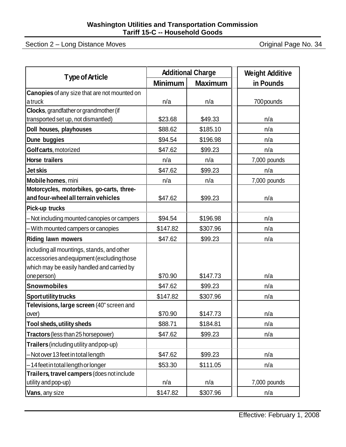Section 2 – Long Distance Moves **Constant Construction** Original Page No. 34

| <b>Type of Article</b>                              |                | <b>Additional Charge</b> | <b>Weight Additive</b> |
|-----------------------------------------------------|----------------|--------------------------|------------------------|
|                                                     | <b>Minimum</b> | <b>Maximum</b>           | in Pounds              |
| <b>Canopies</b> of any size that are not mounted on |                |                          |                        |
| atruck                                              | n/a            | n/a                      | 700 pounds             |
| Clocks, grandfather or grandmother (if              |                |                          |                        |
| transported set up, not dismantled)                 | \$23.68        | \$49.33                  | n/a                    |
| Doll houses, playhouses                             | \$88.62        | \$185.10                 | n/a                    |
| Dune buggies                                        | \$94.54        | \$196.98                 | n/a                    |
| Golf carts, motorized                               | \$47.62        | \$99.23                  | n/a                    |
| <b>Horse trailers</b>                               | n/a            | n/a                      | 7,000 pounds           |
| <b>Jet skis</b>                                     | \$47.62        | \$99.23                  | n/a                    |
| Mobile homes, mini                                  | n/a            | n/a                      | 7,000 pounds           |
| Motorcycles, motorbikes, go-carts, three-           |                |                          |                        |
| and four-wheel all terrain vehicles                 | \$47.62        | \$99.23                  | n/a                    |
| Pick-up trucks                                      |                |                          |                        |
| - Not including mounted canopies or campers         | \$94.54        | \$196.98                 | n/a                    |
| - With mounted campers or canopies                  | \$147.82       | \$307.96                 | n/a                    |
| <b>Riding lawn mowers</b>                           | \$47.62        | \$99.23                  | n/a                    |
| including all mountings, stands, and other          |                |                          |                        |
| accessories and equipment (excluding those          |                |                          |                        |
| which may be easily handled and carried by          |                |                          |                        |
| one person)                                         | \$70.90        | \$147.73                 | n/a                    |
| <b>Snowmobiles</b>                                  | \$47.62        | \$99.23                  | n/a                    |
| <b>Sport utility trucks</b>                         | \$147.82       | \$307.96                 | n/a                    |
| Televisions, large screen (40" screen and           |                |                          |                        |
| over)                                               | \$70.90        | \$147.73                 | n/a                    |
| Tool sheds, utility sheds                           | \$88.71        | \$184.81                 | n/a                    |
| Tractors (less than 25 horsepower)                  | \$47.62        | \$99.23                  | n/a                    |
| Trailers (including utility and pop-up)             |                |                          |                        |
| -Not over 13 feet in total length                   | \$47.62        | \$99.23                  | n/a                    |
| -14 feet in total length or longer                  | \$53.30        | \$111.05                 | n/a                    |
| Trailers, travel campers (does not include          |                |                          |                        |
| utility and pop-up)                                 | n/a            | n/a                      | 7,000 pounds           |
| Vans, any size                                      | \$147.82       | \$307.96                 | n/a                    |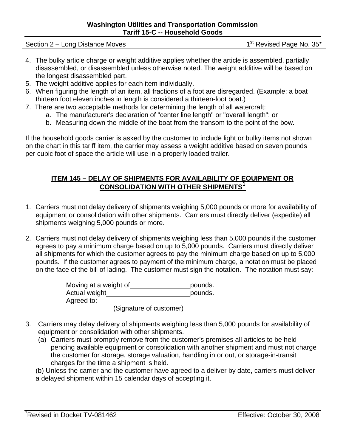Section 2 – Long Distance Moves 1st Revised Page No. 35\*

- 4. The bulky article charge or weight additive applies whether the article is assembled, partially disassembled, or disassembled unless otherwise noted. The weight additive will be based on the longest disassembled part.
- 5. The weight additive applies for each item individually.
- 6. When figuring the length of an item, all fractions of a foot are disregarded. (Example: a boat thirteen foot eleven inches in length is considered a thirteen-foot boat.)
- 7. There are two acceptable methods for determining the length of all watercraft:
	- a. The manufacturer's declaration of "center line length" or "overall length"; or
	- b. Measuring down the middle of the boat from the transom to the point of the bow.

If the household goods carrier is asked by the customer to include light or bulky items not shown on the chart in this tariff item, the carrier may assess a weight additive based on seven pounds per cubic foot of space the article will use in a properly loaded trailer.

#### **ITEM 145 – DELAY OF SHIPMENTS FOR AVAILABILITY OF EQUIPMENT OR CONSOLIDATION WITH OTHER SHIPMENTS<sup>1</sup>**

- 1. Carriers must not delay delivery of shipments weighing 5,000 pounds or more for availability of equipment or consolidation with other shipments. Carriers must directly deliver (expedite) all shipments weighing 5,000 pounds or more.
- 2. Carriers must not delay delivery of shipments weighing less than 5,000 pounds if the customer agrees to pay a minimum charge based on up to 5,000 pounds. Carriers must directly deliver all shipments for which the customer agrees to pay the minimum charge based on up to 5,000 pounds. If the customer agrees to payment of the minimum charge, a notation must be placed on the face of the bill of lading. The customer must sign the notation. The notation must say:

| Moving at a weight of |  |  | pounds. |
|-----------------------|--|--|---------|
| Actual weight         |  |  | pounds. |
| Agreed to:            |  |  |         |
|                       |  |  |         |

(Signature of customer)

- 3. Carriers may delay delivery of shipments weighing less than 5,000 pounds for availability of equipment or consolidation with other shipments.
	- (a) Carriers must promptly remove from the customer's premises all articles to be held pending available equipment or consolidation with another shipment and must not charge the customer for storage, storage valuation, handling in or out, or storage-in-transit charges for the time a shipment is held.

(b) Unless the carrier and the customer have agreed to a deliver by date, carriers must deliver a delayed shipment within 15 calendar days of accepting it.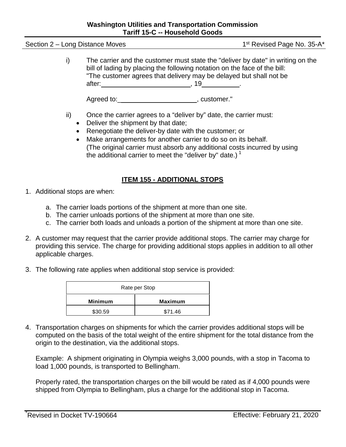#### **Washington Utilities and Transportation Commission Tariff 15-C -- Household Goods**

Section 2 – Long Distance Moves 1st Revised Page No. 35-A\*

i) The carrier and the customer must state the "deliver by date" in writing on the bill of lading by placing the following notation on the face of the bill: "The customer agrees that delivery may be delayed but shall not be after: , 19 .

Agreed to: example a set of the set of the set of the set of the set of the set of the set of the set of the s

- ii) Once the carrier agrees to a "deliver by" date, the carrier must:
	- Deliver the shipment by that date;
	- Renegotiate the deliver-by date with the customer; or
	- Make arrangements for another carrier to do so on its behalf. (The original carrier must absorb any additional costs incurred by using the additional carrier to meet the "deliver by" date.)<sup>1</sup>

#### **ITEM 155 - ADDITIONAL STOPS**

- 1. Additional stops are when:
	- a. The carrier loads portions of the shipment at more than one site.
	- b. The carrier unloads portions of the shipment at more than one site.
	- c. The carrier both loads and unloads a portion of the shipment at more than one site.
- 2. A customer may request that the carrier provide additional stops. The carrier may charge for providing this service. The charge for providing additional stops applies in addition to all other applicable charges.
- 3. The following rate applies when additional stop service is provided:

| Rate per Stop  |                |  |
|----------------|----------------|--|
| <b>Minimum</b> | <b>Maximum</b> |  |
| \$30.59        | \$71.46        |  |

4. Transportation charges on shipments for which the carrier provides additional stops will be computed on the basis of the total weight of the entire shipment for the total distance from the origin to the destination, via the additional stops.

Example: A shipment originating in Olympia weighs 3,000 pounds, with a stop in Tacoma to load 1,000 pounds, is transported to Bellingham.

Properly rated, the transportation charges on the bill would be rated as if 4,000 pounds were shipped from Olympia to Bellingham, plus a charge for the additional stop in Tacoma.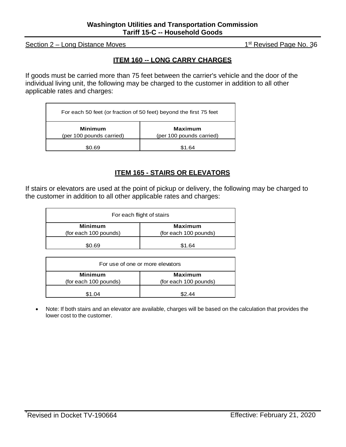Section 2 – Long Distance Moves 1st Revised Page No. 36

#### **ITEM 160 -- LONG CARRY CHARGES**

If goods must be carried more than 75 feet between the carrier's vehicle and the door of the individual living unit, the following may be charged to the customer in addition to all other applicable rates and charges:

| For each 50 feet (or fraction of 50 feet) beyond the first 75 feet |                                            |  |  |
|--------------------------------------------------------------------|--------------------------------------------|--|--|
| Minimum<br>(per 100 pounds carried)                                | <b>Maximum</b><br>(per 100 pounds carried) |  |  |
| ገ 69                                                               | S1 64                                      |  |  |

#### **ITEM 165 - STAIRS OR ELEVATORS**

If stairs or elevators are used at the point of pickup or delivery, the following may be charged to the customer in addition to all other applicable rates and charges:

| For each flight of stairs               |                                         |  |  |
|-----------------------------------------|-----------------------------------------|--|--|
| <b>Minimum</b><br>(for each 100 pounds) | <b>Maximum</b><br>(for each 100 pounds) |  |  |
| \$0.69                                  | \$1.64                                  |  |  |

| For use of one or more elevators        |                                         |  |  |
|-----------------------------------------|-----------------------------------------|--|--|
| <b>Minimum</b><br>(for each 100 pounds) | <b>Maximum</b><br>(for each 100 pounds) |  |  |
| \$1.04                                  | S2 44                                   |  |  |

• Note: If both stairs and an elevator are available, charges will be based on the calculation that provides the lower cost to the customer.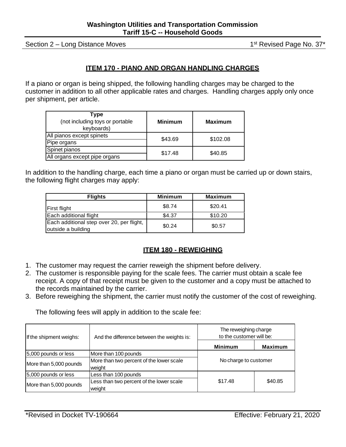Section 2 – Long Distance Moves 1st Revised Page No. 37\*

#### **ITEM 170 - PIANO AND ORGAN HANDLING CHARGES**

If a piano or organ is being shipped, the following handling charges may be charged to the customer in addition to all other applicable rates and charges. Handling charges apply only once per shipment, per article.

| Type<br>(not including toys or portable<br>keyboards) | <b>Minimum</b> | <b>Maximum</b> |  |
|-------------------------------------------------------|----------------|----------------|--|
| All pianos except spinets                             | \$43.69        | \$102.08       |  |
| Pipe organs                                           |                |                |  |
| Spinet pianos                                         | \$17.48        | \$40.85        |  |
| All organs except pipe organs                         |                |                |  |

In addition to the handling charge, each time a piano or organ must be carried up or down stairs, the following flight charges may apply:

| <b>Flights</b>                                                  | <b>Minimum</b> | <b>Maximum</b> |
|-----------------------------------------------------------------|----------------|----------------|
| First flight                                                    | \$8.74         | \$20.41        |
| Each additional flight                                          | \$4.37         | \$10.20        |
| Each additional step over 20, per flight,<br>outside a building | \$0.24         | \$0.57         |

#### **ITEM 180 - REWEIGHING**

- 1. The customer may request the carrier reweigh the shipment before delivery.
- 2. The customer is responsible paying for the scale fees. The carrier must obtain a scale fee receipt. A copy of that receipt must be given to the customer and a copy must be attached to the records maintained by the carrier.
- 3. Before reweighing the shipment, the carrier must notify the customer of the cost of reweighing.

| If the shipment weighs: | And the difference between the weights is:         | The reweighing charge<br>to the customer will be: |                |
|-------------------------|----------------------------------------------------|---------------------------------------------------|----------------|
|                         |                                                    | <b>Minimum</b>                                    | <b>Maximum</b> |
| 5,000 pounds or less    | More than 100 pounds                               | No charge to customer                             |                |
| More than 5,000 pounds  | More than two percent of the lower scale<br>weight |                                                   |                |
| 5,000 pounds or less    | Less than 100 pounds                               |                                                   |                |
| More than 5,000 pounds  | Less than two percent of the lower scale<br>weight | \$17.48                                           | \$40.85        |

The following fees will apply in addition to the scale fee: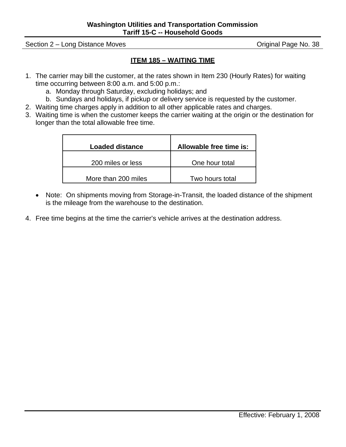Section 2 – Long Distance Moves **Section 2 – Long Distance Moves Original Page No. 38** 

#### **ITEM 185 – WAITING TIME**

- 1. The carrier may bill the customer, at the rates shown in Item 230 (Hourly Rates) for waiting time occurring between 8:00 a.m. and 5:00 p.m.:
	- a. Monday through Saturday, excluding holidays; and
	- b. Sundays and holidays, if pickup or delivery service is requested by the customer.
- 2. Waiting time charges apply in addition to all other applicable rates and charges.
- 3. Waiting time is when the customer keeps the carrier waiting at the origin or the destination for longer than the total allowable free time.

| <b>Loaded distance</b> | Allowable free time is: |
|------------------------|-------------------------|
| 200 miles or less      | One hour total          |
| More than 200 miles    | Two hours total         |

- Note: On shipments moving from Storage-in-Transit, the loaded distance of the shipment is the mileage from the warehouse to the destination.
- 4. Free time begins at the time the carrier's vehicle arrives at the destination address.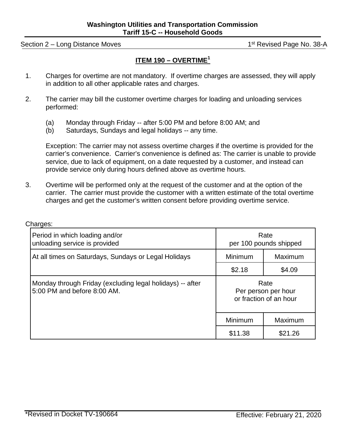Section 2 – Long Distance Moves 1st Revised Page No. 38-A

#### **ITEM 190 – OVERTIME<sup>1</sup>**

- 1. Charges for overtime are not mandatory. If overtime charges are assessed, they will apply in addition to all other applicable rates and charges.
- 2. The carrier may bill the customer overtime charges for loading and unloading services performed:
	- (a) Monday through Friday -- after 5:00 PM and before 8:00 AM; and
	- (b) Saturdays, Sundays and legal holidays -- any time.

Exception: The carrier may not assess overtime charges if the overtime is provided for the carrier's convenience. Carrier's convenience is defined as: The carrier is unable to provide service, due to lack of equipment, on a date requested by a customer, and instead can provide service only during hours defined above as overtime hours.

3. Overtime will be performed only at the request of the customer and at the option of the carrier. The carrier must provide the customer with a written estimate of the total overtime charges and get the customer's written consent before providing overtime service.

| Period in which loading and/or<br>unloading service is provided                          | Rate<br>per 100 pounds shipped                        |         |
|------------------------------------------------------------------------------------------|-------------------------------------------------------|---------|
| At all times on Saturdays, Sundays or Legal Holidays                                     | Minimum                                               | Maximum |
|                                                                                          | \$2.18                                                | \$4.09  |
| Monday through Friday (excluding legal holidays) -- after<br>5:00 PM and before 8:00 AM. | Rate<br>Per person per hour<br>or fraction of an hour |         |
|                                                                                          | Minimum                                               | Maximum |
|                                                                                          | \$11.38                                               | \$21.26 |

Charges: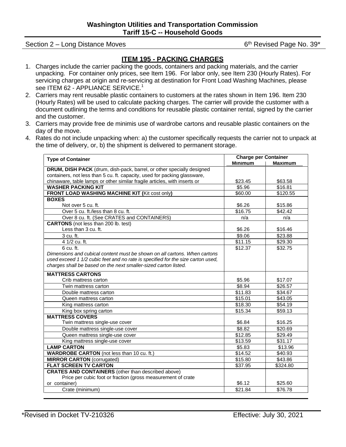Section 2 – Long Distance Moves 6th Revised Page No. 39\*

#### **ITEM 195 - PACKING CHARGES**

- 1. Charges include the carrier packing the goods, containers and packing materials, and the carrier unpacking. For container only prices, see Item 196. For labor only, see Item 230 (Hourly Rates). For servicing charges at origin and re-servicing at destination for Front Load Washing Machines, please see ITEM 62 - APPLIANCE SERVICE.<sup>1</sup>
- 2. Carriers may rent reusable plastic containers to customers at the rates shown in Item 196. Item 230 (Hourly Rates) will be used to calculate packing charges. The carrier will provide the customer with a document outlining the terms and conditions for reusable plastic container rental, signed by the carrier and the customer.
- 3. Carriers may provide free de minimis use of wardrobe cartons and reusable plastic containers on the day of the move.
- 4. Rates do not include unpacking when: a) the customer specifically requests the carrier not to unpack at the time of delivery, or, b) the shipment is delivered to permanent storage.

| <b>Type of Container</b>                                                        | <b>Charge per Container</b> |                |  |
|---------------------------------------------------------------------------------|-----------------------------|----------------|--|
|                                                                                 | <b>Minimum</b>              | <b>Maximum</b> |  |
| DRUM, DISH PACK (drum, dish-pack, barrel, or other specially designed           |                             |                |  |
| containers, not less than 5 cu. ft. capacity, used for packing glassware,       |                             |                |  |
| chinaware, table lamps or other similar fragile articles, with inserts or       | \$23.45                     | \$63.58        |  |
| <b>WASHER PACKING KIT</b>                                                       | $\overline{$}5.96$          | \$16.81        |  |
| FRONT LOAD WASHING MACHINE KIT (Kit cost only)                                  | \$60.00                     | \$120.55       |  |
| <b>BOXES</b>                                                                    |                             |                |  |
| Not over 5 cu. ft.                                                              | \$6.26                      | \$15.86        |  |
| Over 5 cu. ft./less than 8 cu. ft.                                              | \$16.75                     | \$42.42        |  |
| Over 8 cu. ft. (See CRATES and CONTAINERS)                                      | n/a                         | n/a            |  |
| <b>CARTONS</b> (not less than 200 lb. test)                                     |                             |                |  |
| Less than 3 cu. ft.                                                             | \$6.26                      | \$16.46        |  |
| 3 cu. ft.                                                                       | \$9.06                      | \$23.88        |  |
| 4 1/2 cu. ft.                                                                   | \$11.15                     | \$29.30        |  |
| $6 \text{ cu. ft.}$                                                             | \$12.37                     | \$32.75        |  |
| Dimensions and cubical content must be shown on all cartons. When cartons       |                             |                |  |
| used exceed 1 1/2 cubic feet and no rate is specified for the size carton used, |                             |                |  |
| charges shall be based on the next smaller-sized carton listed.                 |                             |                |  |
| <b>MATTRESS CARTONS</b>                                                         |                             |                |  |
| Crib mattress carton                                                            | \$5.96                      | \$17.07        |  |
| Twin mattress carton                                                            | \$8.94                      | \$26.57        |  |
| Double mattress carton                                                          | \$11.83                     | \$34.67        |  |
| Queen mattress carton                                                           | \$15.01                     | \$43.05        |  |
| King mattress carton                                                            | \$18.30                     | \$54.19        |  |
| King box spring carton                                                          | \$15.34                     | \$59.13        |  |
| <b>MATTRESS COVERS</b>                                                          |                             |                |  |
| Twin mattress single-use cover                                                  | \$6.84                      | \$16.25        |  |
| Double mattress single-use cover                                                | \$8.82                      | \$20.69        |  |
| Queen mattress single-use cover                                                 | \$12.85                     | \$29.49        |  |
| King mattress single-use cover                                                  | \$13.59                     | \$31.17        |  |
| <b>LAMP CARTON</b>                                                              | \$5.83                      | \$13.96        |  |
| <b>WARDROBE CARTON</b> (not less than 10 cu. ft.)                               | \$14.52                     | \$40.93        |  |
| <b>MIRROR CARTON</b> (corrugated)                                               | \$15.80                     | \$43.86        |  |
| <b>FLAT SCREEN TV CARTON</b>                                                    | \$37.95                     | \$324.80       |  |
| <b>CRATES AND CONTAINERS</b> (other than described above)                       |                             |                |  |
| Price per cubic foot or fraction (gross measurement of crate                    |                             |                |  |
| or container)                                                                   | \$6.12                      | \$25.60        |  |
| Crate (minimum)                                                                 | \$21.84                     | \$76.78        |  |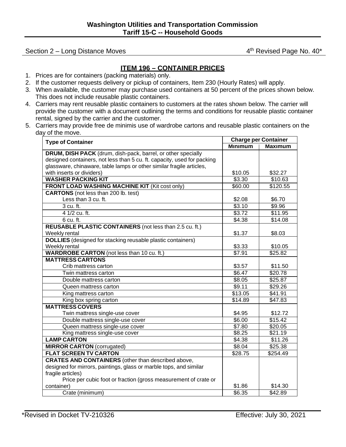#### Section 2 – Long Distance Moves **4th Revised Page No. 40\*** 4th Revised Page No. 40\*

#### **ITEM 196 – CONTAINER PRICES**

- 1. Prices are for containers (packing materials) only.
- 2. If the customer requests delivery or pickup of containers, Item 230 (Hourly Rates) will apply.
- 3. When available, the customer may purchase used containers at 50 percent of the prices shown below. This does not include reusable plastic containers.
- 4. Carriers may rent reusable plastic containers to customers at the rates shown below. The carrier will provide the customer with a document outlining the terms and conditions for reusable plastic container rental, signed by the carrier and the customer.
- 5. Carriers may provide free de minimis use of wardrobe cartons and reusable plastic containers on the day of the move.

| <b>Type of Container</b>                                                | <b>Charge per Container</b> |                     |  |
|-------------------------------------------------------------------------|-----------------------------|---------------------|--|
|                                                                         | <b>Minimum</b>              | <b>Maximum</b>      |  |
| DRUM, DISH PACK (drum, dish-pack, barrel, or other specially            |                             |                     |  |
| designed containers, not less than 5 cu. ft. capacity, used for packing |                             |                     |  |
| glassware, chinaware, table lamps or other similar fragile articles,    |                             |                     |  |
| with inserts or dividers)                                               | \$10.05                     | \$32.27             |  |
| <b>WASHER PACKING KIT</b>                                               | \$3.30                      | \$10.63             |  |
| FRONT LOAD WASHING MACHINE KIT (Kit cost only)                          | \$60.00                     | \$120.55            |  |
| <b>CARTONS</b> (not less than 200 lb. test)                             |                             |                     |  |
| Less than 3 cu. ft.                                                     | \$2.08                      | \$6.70              |  |
| 3 cu. ft.                                                               | \$3.10                      | \$9.96              |  |
| 4 1/2 cu. ft.                                                           | \$3.72                      | \$11.95             |  |
| 6 cu. ft.                                                               | \$4.38                      | \$14.08             |  |
| REUSABLE PLASTIC CONTAINERS (not less than 2.5 cu. ft.)                 |                             |                     |  |
| Weekly rental                                                           | \$1.37                      | \$8.03              |  |
| <b>DOLLIES</b> (designed for stacking reusable plastic containers)      |                             |                     |  |
| Weekly rental                                                           | \$3.33                      | \$10.05             |  |
| <b>WARDROBE CARTON</b> (not less than 10 cu. ft.)                       | \$7.91                      | $\overline{$25.82}$ |  |
| <b>MATTRESS CARTONS</b>                                                 |                             |                     |  |
| Crib mattress carton                                                    | \$3.57                      | \$11.50             |  |
| Twin mattress carton                                                    | \$6.47                      | \$20.78             |  |
| Double mattress carton                                                  | \$8.05                      | \$25.87             |  |
| Queen mattress carton                                                   | \$9.11                      | \$29.26             |  |
| King mattress carton                                                    | \$13.05                     | \$41.91             |  |
| King box spring carton                                                  | \$14.89                     | $\overline{$}47.83$ |  |
| <b>MATTRESS COVERS</b>                                                  |                             |                     |  |
| Twin mattress single-use cover                                          | \$4.95                      | \$12.72             |  |
| Double mattress single-use cover                                        | \$6.00                      | \$15.42             |  |
| Queen mattress single-use cover                                         | \$7.80                      | \$20.05             |  |
| King mattress single-use cover                                          | \$8.25                      | \$21.19             |  |
| <b>LAMP CARTON</b>                                                      | \$4.38                      | \$11.26             |  |
| <b>MIRROR CARTON</b> (corrugated)                                       | \$8.04                      | \$25.38             |  |
| <b>FLAT SCREEN TV CARTON</b>                                            | \$28.75                     | \$254.49            |  |
| <b>CRATES AND CONTAINERS</b> (other than described above,               |                             |                     |  |
| designed for mirrors, paintings, glass or marble tops, and similar      |                             |                     |  |
| fragile articles)                                                       |                             |                     |  |
| Price per cubic foot or fraction (gross measurement of crate or         |                             |                     |  |
| container)                                                              | \$1.86                      | \$14.30             |  |
| Crate (minimum)                                                         | \$6.35                      | \$42.89             |  |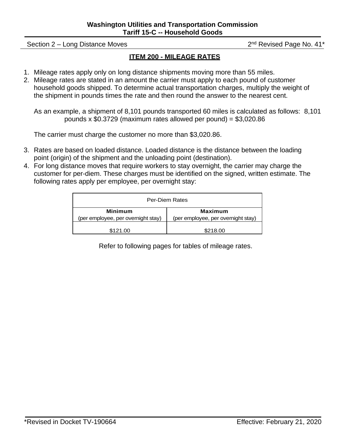Section 2 – Long Distance Moves 2nd Revised Page No. 41\*

#### **ITEM 200 - MILEAGE RATES**

- 1. Mileage rates apply only on long distance shipments moving more than 55 miles.
- 2. Mileage rates are stated in an amount the carrier must apply to each pound of customer household goods shipped. To determine actual transportation charges, multiply the weight of the shipment in pounds times the rate and then round the answer to the nearest cent.

As an example, a shipment of 8,101 pounds transported 60 miles is calculated as follows: 8,101 pounds x  $$0.3729$  (maximum rates allowed per pound) =  $$3.020.86$ 

The carrier must charge the customer no more than \$3,020.86.

- 3. Rates are based on loaded distance. Loaded distance is the distance between the loading point (origin) of the shipment and the unloading point (destination).
- 4. For long distance moves that require workers to stay overnight, the carrier may charge the customer for per-diem. These charges must be identified on the signed, written estimate. The following rates apply per employee, per overnight stay:

| <b>Per-Diem Rates</b>                                                                                 |          |  |  |  |  |  |  |
|-------------------------------------------------------------------------------------------------------|----------|--|--|--|--|--|--|
| <b>Minimum</b><br>Maximum<br>(per employee, per overnight stay)<br>(per employee, per overnight stay) |          |  |  |  |  |  |  |
| \$121.00                                                                                              | \$218.00 |  |  |  |  |  |  |

Refer to following pages for tables of mileage rates.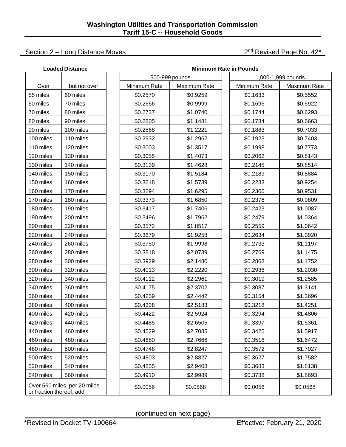#### Section 2 – Long Distance Moves 2nd Revised Page No. 42\*

|                          | <b>Loaded Distance</b>       |              |                | <b>Minimum Rate in Pounds</b> |              |                    |  |
|--------------------------|------------------------------|--------------|----------------|-------------------------------|--------------|--------------------|--|
|                          |                              |              | 500-999 pounds |                               |              | 1,000-1,999 pounds |  |
| Over                     | but not over                 | Minimum Rate | Maximum Rate   |                               | Minimum Rate | Maximum Rate       |  |
| 55 miles                 | 60 miles                     | \$0.2570     | \$0.9259       |                               | \$0.1633     | \$0.5552           |  |
| 60 miles                 | 70 miles                     | \$0.2666     | \$0.9999       |                               | \$0.1696     | \$0.5922           |  |
| 70 miles                 | 80 miles                     | \$0.2737     | \$1.0740       |                               | \$0.1744     | \$0.6293           |  |
| 80 miles                 | 90 miles                     | \$0.2805     | \$1.1481       |                               | \$0.1784     | \$0.6663           |  |
| 90 miles                 | 100 miles                    | \$0.2868     | \$1.2221       |                               | \$0.1883     | \$0.7033           |  |
| 100 miles                | 110 miles                    | \$0.2932     | \$1.2962       |                               | \$0.1923     | \$0.7403           |  |
| 110 miles                | 120 miles                    | \$0.3003     | \$1.3517       |                               | \$0.1998     | \$0.7773           |  |
| 120 miles                | 130 miles                    | \$0.3055     | \$1.4073       |                               | \$0.2062     | \$0.8143           |  |
| 130 miles                | 140 miles                    | \$0.3139     | \$1.4628       |                               | \$0.2145     | \$0.8514           |  |
| 140 miles                | 150 miles                    | \$0.3170     | \$1.5184       |                               | \$0.2189     | \$0.8884           |  |
| 150 miles                | 160 miles                    | \$0.3218     | \$1.5739       |                               | \$0.2233     | \$0.9254           |  |
| 160 miles                | 170 miles                    | \$0.3294     | \$1.6295       |                               | \$0.2300     | \$0.9531           |  |
| 170 miles                | 180 miles                    | \$0.3373     | \$1.6850       |                               | \$0.2376     | \$0.9809           |  |
| 180 miles                | 190 miles                    | \$0.3417     | \$1.7406       |                               | \$0.2423     | \$1.0087           |  |
| 190 miles                | 200 miles                    | \$0.3496     | \$1.7962       |                               | \$0.2479     | \$1.0364           |  |
| 200 miles                | 220 miles                    | \$0.3572     | \$1.8517       |                               | \$0.2559     | \$1.0642           |  |
| 220 miles                | 240 miles                    | \$0.3679     | \$1.9258       |                               | \$0.2634     | \$1.0920           |  |
| 240 miles                | 260 miles                    | \$0.3750     | \$1.9998       |                               | \$0.2733     | \$1.1197           |  |
| 260 miles                | 280 miles                    | \$0.3818     | \$2.0739       |                               | \$0.2769     | \$1.1475           |  |
| 280 miles                | 300 miles                    | \$0.3929     | \$2.1480       |                               | \$0.2868     | \$1.1752           |  |
| 300 miles                | 320 miles                    | \$0.4013     | \$2.2220       |                               | \$0.2936     | \$1.2030           |  |
| 320 miles                | 340 miles                    | \$0.4112     | \$2.2961       |                               | \$0.3019     | \$1.2585           |  |
| 340 miles                | 360 miles                    | \$0.4175     | \$2.3702       |                               | \$0.3087     | \$1.3141           |  |
| 360 miles                | 380 miles                    | \$0.4259     | \$2.4442       |                               | \$0.3154     | \$1.3696           |  |
| 380 miles                | 400 miles                    | \$0.4338     | \$2.5183       |                               | \$0.3218     | \$1.4251           |  |
| 400 miles                | 420 miles                    | \$0.4422     | \$2.5924       |                               | \$0.3294     | \$1.4806           |  |
| 420 miles                | 440 miles                    | \$0.4485     | \$2.6505       |                               | \$0.3397     | \$1.5361           |  |
| 440 miles                | 460 miles                    | \$0.4529     | \$2.7085       |                               | \$0.3425     | \$1.5917           |  |
| 460 miles                | 480 miles                    | \$0.4680     | \$2.7666       |                               | \$0.3516     | \$1.6472           |  |
| 480 miles                | 500 miles                    | \$0.4748     | \$2.8247       |                               | \$0.3572     | \$1.7027           |  |
| 500 miles                | 520 miles                    | \$0.4803     | \$2.8827       |                               | \$0.3627     | \$1.7582           |  |
| 520 miles                | 540 miles                    | \$0.4855     | \$2.9408       |                               | \$0.3683     | \$1.8138           |  |
| 540 miles                | 560 miles                    | \$0.4910     | \$2.9989       |                               | \$0.3738     | \$1.8693           |  |
| or fraction thereof, add | Over 560 miles, per 20 miles | \$0.0056     | \$0.0568       |                               | \$0.0056     | \$0.0568           |  |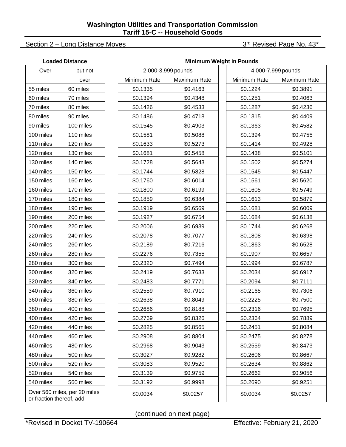### Section 2 – Long Distance Moves 3rd Revised Page No. 43\*

|                                                          | <b>Loaded Distance</b> | <b>Minimum Weight in Pounds</b> |                    |                    |              |              |  |  |  |  |  |
|----------------------------------------------------------|------------------------|---------------------------------|--------------------|--------------------|--------------|--------------|--|--|--|--|--|
| Over                                                     | but not                |                                 | 2,000-3,999 pounds | 4,000-7,999 pounds |              |              |  |  |  |  |  |
|                                                          | over                   | Minimum Rate                    | Maximum Rate       |                    | Minimum Rate | Maximum Rate |  |  |  |  |  |
| 55 miles                                                 | 60 miles               | \$0.1335                        | \$0.4163           |                    | \$0.1224     | \$0.3891     |  |  |  |  |  |
| 60 miles                                                 | 70 miles               | \$0.1394                        | \$0.4348           |                    | \$0.1251     | \$0.4063     |  |  |  |  |  |
| 70 miles                                                 | 80 miles               | \$0.1426                        | \$0.4533           |                    | \$0.1287     | \$0.4236     |  |  |  |  |  |
| 80 miles                                                 | 90 miles               | \$0.1486                        | \$0.4718           |                    | \$0.1315     | \$0.4409     |  |  |  |  |  |
| 90 miles                                                 | 100 miles              | \$0.1545                        | \$0.4903           |                    | \$0.1363     | \$0.4582     |  |  |  |  |  |
| 100 miles                                                | 110 miles              | \$0.1581                        | \$0.5088           |                    | \$0.1394     | \$0.4755     |  |  |  |  |  |
| 110 miles                                                | 120 miles              | \$0.1633                        | \$0.5273           |                    | \$0.1414     | \$0.4928     |  |  |  |  |  |
| 120 miles                                                | 130 miles              | \$0.1681                        | \$0.5458           |                    | \$0.1438     | \$0.5101     |  |  |  |  |  |
| 130 miles                                                | 140 miles              | \$0.1728                        | \$0.5643           |                    | \$0.1502     | \$0.5274     |  |  |  |  |  |
| 140 miles                                                | 150 miles              | \$0.1744                        | \$0.5828           |                    | \$0.1545     | \$0.5447     |  |  |  |  |  |
| 150 miles                                                | 160 miles              | \$0.1760                        | \$0.6014           |                    | \$0.1561     | \$0.5620     |  |  |  |  |  |
| 160 miles                                                | 170 miles              | \$0.1800                        | \$0.6199           |                    | \$0.1605     | \$0.5749     |  |  |  |  |  |
| 170 miles                                                | 180 miles              | \$0.1859                        | \$0.6384           |                    | \$0.1613     | \$0.5879     |  |  |  |  |  |
| 180 miles                                                | 190 miles              | \$0.1919                        | \$0.6569           |                    | \$0.1681     | \$0.6009     |  |  |  |  |  |
| 190 miles                                                | 200 miles              | \$0.1927                        | \$0.6754           |                    | \$0.1684     | \$0.6138     |  |  |  |  |  |
| 200 miles                                                | 220 miles              | \$0.2006                        | \$0.6939           |                    | \$0.1744     | \$0.6268     |  |  |  |  |  |
| 220 miles                                                | 240 miles              | \$0.2078                        | \$0.7077           |                    | \$0.1808     | \$0.6398     |  |  |  |  |  |
| 240 miles                                                | 260 miles              | \$0.2189                        | \$0.7216           |                    | \$0.1863     | \$0.6528     |  |  |  |  |  |
| 260 miles                                                | 280 miles              | \$0.2276                        | \$0.7355           |                    | \$0.1907     | \$0.6657     |  |  |  |  |  |
| 280 miles                                                | 300 miles              | \$0.2320                        | \$0.7494           |                    | \$0.1994     | \$0.6787     |  |  |  |  |  |
| 300 miles                                                | 320 miles              | \$0.2419                        | \$0.7633           |                    | \$0.2034     | \$0.6917     |  |  |  |  |  |
| 320 miles                                                | 340 miles              | \$0.2483                        | \$0.7771           |                    | \$0.2094     | \$0.7111     |  |  |  |  |  |
| 340 miles                                                | 360 miles              | \$0.2559                        | \$0.7910           |                    | \$0.2165     | \$0.7306     |  |  |  |  |  |
| 360 miles                                                | 380 miles              | \$0.2638                        | \$0.8049           |                    | \$0.2225     | \$0.7500     |  |  |  |  |  |
| 380 miles                                                | 400 miles              | \$0.2686                        | \$0.8188           |                    | \$0.2316     | \$0.7695     |  |  |  |  |  |
| 400 miles                                                | 420 miles              | \$0.2769                        | \$0.8326           |                    | \$0.2364     | \$0.7889     |  |  |  |  |  |
| 420 miles                                                | 440 miles              | \$0.2825                        | \$0.8565           |                    | \$0.2451     | \$0.8084     |  |  |  |  |  |
| 440 miles                                                | 460 miles              | \$0.2908                        | \$0.8804           |                    | \$0.2475     | \$0.8278     |  |  |  |  |  |
| 460 miles                                                | 480 miles              | \$0.2968                        | \$0.9043           |                    | \$0.2559     | \$0.8473     |  |  |  |  |  |
| 480 miles                                                | 500 miles              | \$0.3027                        | \$0.9282           |                    | \$0.2606     | \$0.8667     |  |  |  |  |  |
| 500 miles                                                | 520 miles              | \$0.3083                        | \$0.9520           |                    | \$0.2634     | \$0.8862     |  |  |  |  |  |
| 520 miles                                                | 540 miles              | \$0.3139                        | \$0.9759           |                    | \$0.2662     | \$0.9056     |  |  |  |  |  |
| 540 miles                                                | 560 miles              | \$0.3192                        | \$0.9998           |                    | \$0.2690     | \$0.9251     |  |  |  |  |  |
| Over 560 miles, per 20 miles<br>or fraction thereof, add |                        | \$0.0034                        | \$0.0257           |                    | \$0.0034     | \$0.0257     |  |  |  |  |  |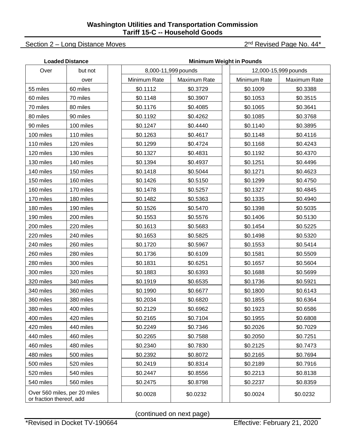#### Section 2 – Long Distance Moves 2nd Revised Page No. 44\*

|                          | <b>Loaded Distance</b>       | <b>Minimum Weight in Pounds</b> |              |                     |  |                      |              |  |  |  |
|--------------------------|------------------------------|---------------------------------|--------------|---------------------|--|----------------------|--------------|--|--|--|
| Over                     | but not                      |                                 |              | 8,000-11,999 pounds |  | 12,000-15,999 pounds |              |  |  |  |
|                          | over                         |                                 | Minimum Rate | Maximum Rate        |  | Minimum Rate         | Maximum Rate |  |  |  |
| 55 miles                 | 60 miles                     |                                 | \$0.1112     | \$0.3729            |  | \$0.1009             | \$0.3388     |  |  |  |
| 60 miles                 | 70 miles                     |                                 | \$0.1148     | \$0.3907            |  | \$0.1053             | \$0.3515     |  |  |  |
| 70 miles                 | 80 miles                     |                                 | \$0.1176     | \$0.4085            |  | \$0.1065             | \$0.3641     |  |  |  |
| 80 miles                 | 90 miles                     |                                 | \$0.1192     | \$0.4262            |  | \$0.1085             | \$0.3768     |  |  |  |
| 90 miles                 | 100 miles                    |                                 | \$0.1247     | \$0.4440            |  | \$0.1140             | \$0.3895     |  |  |  |
| 100 miles                | 110 miles                    |                                 | \$0.1263     | \$0.4617            |  | \$0.1148             | \$0.4116     |  |  |  |
| 110 miles                | 120 miles                    |                                 | \$0.1299     | \$0.4724            |  | \$0.1168             | \$0.4243     |  |  |  |
| 120 miles                | 130 miles                    |                                 | \$0.1327     | \$0.4831            |  | \$0.1192             | \$0.4370     |  |  |  |
| 130 miles                | 140 miles                    |                                 | \$0.1394     | \$0.4937            |  | \$0.1251             | \$0.4496     |  |  |  |
| 140 miles                | 150 miles                    |                                 | \$0.1418     | \$0.5044            |  | \$0.1271             | \$0.4623     |  |  |  |
| 150 miles                | 160 miles                    |                                 | \$0.1426     | \$0.5150            |  | \$0.1299             | \$0.4750     |  |  |  |
| 160 miles                | 170 miles                    |                                 | \$0.1478     | \$0.5257            |  | \$0.1327             | \$0.4845     |  |  |  |
| 170 miles                | 180 miles                    |                                 | \$0.1482     | \$0.5363            |  | \$0.1335             | \$0.4940     |  |  |  |
| 180 miles                | 190 miles                    |                                 | \$0.1526     | \$0.5470            |  | \$0.1398             | \$0.5035     |  |  |  |
| 190 miles                | 200 miles                    |                                 | \$0.1553     | \$0.5576            |  | \$0.1406             | \$0.5130     |  |  |  |
| 200 miles                | 220 miles                    |                                 | \$0.1613     | \$0.5683            |  | \$0.1454             | \$0.5225     |  |  |  |
| 220 miles                | 240 miles                    |                                 | \$0.1653     | \$0.5825            |  | \$0.1498             | \$0.5320     |  |  |  |
| 240 miles                | 260 miles                    |                                 | \$0.1720     | \$0.5967            |  | \$0.1553             | \$0.5414     |  |  |  |
| 260 miles                | 280 miles                    |                                 | \$0.1736     | \$0.6109            |  | \$0.1581             | \$0.5509     |  |  |  |
| 280 miles                | 300 miles                    |                                 | \$0.1831     | \$0.6251            |  | \$0.1657             | \$0.5604     |  |  |  |
| 300 miles                | 320 miles                    |                                 | \$0.1883     | \$0.6393            |  | \$0.1688             | \$0.5699     |  |  |  |
| 320 miles                | 340 miles                    |                                 | \$0.1919     | \$0.6535            |  | \$0.1736             | \$0.5921     |  |  |  |
| 340 miles                | 360 miles                    |                                 | \$0.1990     | \$0.6677            |  | \$0.1800             | \$0.6143     |  |  |  |
| 360 miles                | 380 miles                    |                                 | \$0.2034     | \$0.6820            |  | \$0.1855             | \$0.6364     |  |  |  |
| 380 miles                | 400 miles                    |                                 | \$0.2129     | \$0.6962            |  | \$0.1923             | \$0.6586     |  |  |  |
| 400 miles                | 420 miles                    |                                 | \$0.2165     | \$0.7104            |  | \$0.1955             | \$0.6808     |  |  |  |
| 420 miles                | 440 miles                    |                                 | \$0.2249     | \$0.7346            |  | \$0.2026             | \$0.7029     |  |  |  |
| 440 miles                | 460 miles                    |                                 | \$0.2265     | \$0.7588            |  | \$0.2050             | \$0.7251     |  |  |  |
| 460 miles                | 480 miles                    |                                 | \$0.2340     | \$0.7830            |  | \$0.2125             | \$0.7473     |  |  |  |
| 480 miles                | 500 miles                    |                                 | \$0.2392     | \$0.8072            |  | \$0.2165             | \$0.7694     |  |  |  |
| 500 miles                | 520 miles                    |                                 | \$0.2419     | \$0.8314            |  | \$0.2189             | \$0.7916     |  |  |  |
| 520 miles                | 540 miles                    |                                 | \$0.2447     | \$0.8556            |  | \$0.2213             | \$0.8138     |  |  |  |
| 540 miles                | 560 miles                    |                                 | \$0.2475     | \$0.8798            |  | \$0.2237             | \$0.8359     |  |  |  |
| or fraction thereof, add | Over 560 miles, per 20 miles |                                 | \$0.0028     | \$0.0232            |  | \$0.0024             | \$0.0232     |  |  |  |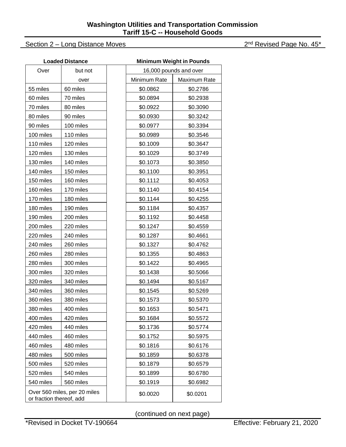#### Section 2 – Long Distance Moves 2nd Revised Page No. 45\*

|                          | <b>Loaded Distance</b>       | <b>Minimum Weight in Pounds</b> |              |                        |  |  |  |
|--------------------------|------------------------------|---------------------------------|--------------|------------------------|--|--|--|
| Over                     | but not                      |                                 |              | 16,000 pounds and over |  |  |  |
|                          | over                         |                                 | Minimum Rate | <b>Maximum Rate</b>    |  |  |  |
| 55 miles                 | 60 miles                     |                                 | \$0.0862     | \$0.2786               |  |  |  |
| 60 miles                 | 70 miles                     |                                 | \$0.0894     | \$0.2938               |  |  |  |
| 70 miles                 | 80 miles                     |                                 | \$0.0922     | \$0.3090               |  |  |  |
| 80 miles                 | 90 miles                     |                                 | \$0.0930     | \$0.3242               |  |  |  |
| 90 miles                 | 100 miles                    |                                 | \$0.0977     | \$0.3394               |  |  |  |
| 100 miles                | 110 miles                    |                                 | \$0.0989     | \$0.3546               |  |  |  |
| 110 miles                | 120 miles                    |                                 | \$0.1009     | \$0.3647               |  |  |  |
| 120 miles                | 130 miles                    |                                 | \$0.1029     | \$0.3749               |  |  |  |
| 130 miles                | 140 miles                    |                                 | \$0.1073     | \$0.3850               |  |  |  |
| 140 miles                | 150 miles                    |                                 | \$0.1100     | \$0.3951               |  |  |  |
| 150 miles                | 160 miles                    |                                 | \$0.1112     | \$0.4053               |  |  |  |
| 160 miles                | 170 miles                    |                                 | \$0.1140     | \$0.4154               |  |  |  |
| 170 miles                | 180 miles                    |                                 | \$0.1144     | \$0.4255               |  |  |  |
| 180 miles                | 190 miles                    |                                 | \$0.1184     | \$0.4357               |  |  |  |
| 190 miles                | 200 miles                    |                                 | \$0.1192     | \$0.4458               |  |  |  |
| 200 miles                | 220 miles                    |                                 | \$0.1247     | \$0.4559               |  |  |  |
| 220 miles                | 240 miles                    |                                 | \$0.1287     | \$0.4661               |  |  |  |
| 240 miles                | 260 miles                    |                                 | \$0.1327     | \$0.4762               |  |  |  |
| 260 miles                | 280 miles                    |                                 | \$0.1355     | \$0.4863               |  |  |  |
| 280 miles                | 300 miles                    |                                 | \$0.1422     | \$0.4965               |  |  |  |
| 300 miles                | 320 miles                    |                                 | \$0.1438     | \$0.5066               |  |  |  |
| 320 miles                | 340 miles                    |                                 | \$0.1494     | \$0.5167               |  |  |  |
| 340 miles                | 360 miles                    |                                 | \$0.1545     | \$0.5269               |  |  |  |
| 360 miles                | 380 miles                    |                                 | \$0.1573     | \$0.5370               |  |  |  |
| 380 miles                | 400 miles                    |                                 | \$0.1653     | \$0.5471               |  |  |  |
| 400 miles                | 420 miles                    |                                 | \$0.1684     | \$0.5572               |  |  |  |
| 420 miles                | 440 miles                    |                                 | \$0.1736     | \$0.5774               |  |  |  |
| 440 miles                | 460 miles                    |                                 | \$0.1752     | \$0.5975               |  |  |  |
| 460 miles                | 480 miles                    |                                 | \$0.1816     | \$0.6176               |  |  |  |
| 480 miles                | 500 miles                    |                                 | \$0.1859     | \$0.6378               |  |  |  |
| 500 miles                | 520 miles                    |                                 | \$0.1879     | \$0.6579               |  |  |  |
| 520 miles                | 540 miles                    |                                 | \$0.1899     | \$0.6780               |  |  |  |
| 540 miles                | 560 miles                    |                                 | \$0.1919     | \$0.6982               |  |  |  |
| or fraction thereof, add | Over 560 miles, per 20 miles |                                 | \$0.0020     | \$0.0201               |  |  |  |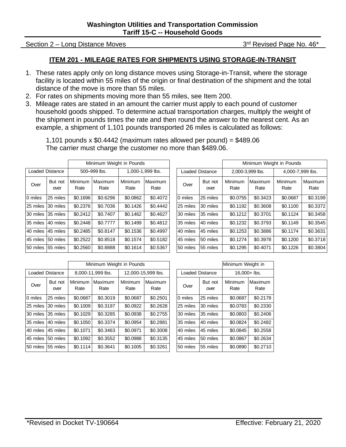#### Section 2 – Long Distance Moves 3rd Revised Page No. 46\*

#### **ITEM 201 - MILEAGE RATES FOR SHIPMENTS USING STORAGE-IN-TRANSIT**

- 1. These rates apply only on long distance moves using Storage-in-Transit, where the storage facility is located within 55 miles of the origin or final destination of the shipment and the total distance of the move is more than 55 miles.
- 2. For rates on shipments moving more than 55 miles, see Item 200.
- 3. Mileage rates are stated in an amount the carrier must apply to each pound of customer household goods shipped. To determine actual transportation charges, multiply the weight of the shipment in pounds times the rate and then round the answer to the nearest cent. As an example, a shipment of 1,101 pounds transported 26 miles is calculated as follows:

1,101 pounds x  $$0.4442$  (maximum rates allowed per pound) =  $$489.06$ 

The carrier must charge the customer no more than \$489.06.

|                        |                 |                 | Minimum Weight in Pounds |                  |                 |                        |                 |                 |                  | Minimum Weight in Pounds |                 |
|------------------------|-----------------|-----------------|--------------------------|------------------|-----------------|------------------------|-----------------|-----------------|------------------|--------------------------|-----------------|
| <b>Loaded Distance</b> |                 |                 | 500-999 lbs.             | 1,000-1,999 lbs. |                 | <b>Loaded Distance</b> |                 |                 | 2,000-3,999 lbs. | 4,000-7,999 lbs.         |                 |
| Over                   | But not<br>over | Minimum<br>Rate | Maximum<br>Rate          | Minimum<br>Rate  | Maximum<br>Rate | Over                   | But not<br>over | Minimum<br>Rate | Maximum<br>Rate  | Minimum<br>Rate          | Maximum<br>Rate |
| 0 miles                | 25 miles        | \$0.1696        | \$0.6296                 | \$0.0862         | \$0.4072        | 0 miles                | 25 miles        | \$0.0755        | \$0.3423         | \$0.0687                 | \$0.3199        |
| 25 miles               | 30 miles        | \$0.2376        | \$0.7036                 | \$0.1426         | \$0.4442        | 25 miles               | 30 miles        | \$0.1192        | \$0.3608         | \$0.1100                 | \$0.3372        |
| 30 miles 35 miles      |                 | \$0.2412        | \$0.7407                 | \$0.1462         | \$0.4627        | 30 miles               | 35 miles        | \$0.1212        | \$0.3701         | \$0.1124                 | \$0.3458        |
| 35 miles 40 miles      |                 | \$0.2448        | \$0.7777                 | \$0.1499         | \$0.4812        | 35 miles               | 40 miles        | \$0.1232        | \$0.3793         | \$0.1149                 | \$0.3545        |
| 40 miles 45 miles      |                 | \$0.2485        | \$0.8147                 | \$0.1536         | \$0.4997        | 40 miles               | 45 miles        | \$0.1253        | \$0.3886         | \$0.1174                 | \$0.3631        |
| 45 miles 50 miles      |                 | \$0.2522        | \$0.8518                 | \$0.1574         | \$0.5182        | 45 miles               | 50 miles        | \$0.1274        | \$0.3978         | \$0.1200                 | \$0.3718        |
| 50 miles 55 miles      |                 | \$0.2560        | \$0.8888                 | \$0.1614         | \$0.5367        | 50 miles               | 55 miles        | \$0.1295        | \$0.4071         | \$0.1226                 | \$0.3804        |

|          |                        |                 | Minimum Weight in Pounds |                  |                 |                        |                 |                  | Minimum Weight in Pounds |                  |                 |
|----------|------------------------|-----------------|--------------------------|------------------|-----------------|------------------------|-----------------|------------------|--------------------------|------------------|-----------------|
|          | <b>Loaded Distance</b> | 500-999 lbs.    |                          | 1.000-1.999 lbs. |                 | <b>Loaded Distance</b> |                 | 2,000-3,999 lbs. |                          | 4,000-7,999 lbs. |                 |
| Over     | But not<br>over        | Minimum<br>Rate | Maximum<br>Rate          | Minimum<br>Rate  | Maximum<br>Rate | Over                   | But not<br>over | Minimum<br>Rate  | Maximum<br>Rate          | Minimum<br>Rate  | Maximum<br>Rate |
| 0 miles  | 25 miles               | \$0.1696        | \$0.6296                 | \$0.0862         | \$0.4072        | 0 miles                | 25 miles        | \$0.0755         | \$0.3423                 | \$0.0687         | \$0.3199        |
| 25 miles | 30 miles               | \$0.2376        | \$0.7036                 | \$0.1426         | \$0.4442        | 25 miles               | 30 miles        | \$0.1192         | \$0.3608                 | \$0.1100         | \$0.3372        |
| 30 miles | 35 miles               | \$0.2412        | \$0.7407                 | \$0.1462         | \$0.4627        | 30 miles               | 35 miles        | \$0.1212         | \$0.3701                 | \$0.1124         | \$0.3458        |
| 35 miles | 40 miles               | \$0.2448        | \$0.7777                 | \$0.1499         | \$0.4812        | 35 miles               | 40 miles        | \$0.1232         | \$0.3793                 | \$0.1149         | \$0.3545        |
| 40 miles | 45 miles               | \$0.2485        | \$0.8147                 | \$0.1536         | \$0.4997        | 40 miles               | 45 miles        | \$0.1253         | \$0.3886                 | \$0.1174         | \$0.3631        |
| 45 miles | 50 miles               | \$0.2522        | \$0.8518                 | \$0.1574         | \$0.5182        | 45 miles               | 50 miles        | \$0.1274         | \$0.3978                 | \$0.1200         | \$0.3718        |
|          | 50 miles 155 miles.    | \$0.2560        | $$0$ 8888                | \$0,1614         | \$0.5367        | 50 miles               | 55 miles        | \$0,1295         | \$0,4071                 | \$0,1226         | \$0,3804        |

|                     |                 |                 | Minimum Weight in Pounds |                    |                 |  |          |                        | Minimum Weight in |                 |
|---------------------|-----------------|-----------------|--------------------------|--------------------|-----------------|--|----------|------------------------|-------------------|-----------------|
|                     | Loaded Distance |                 | 8,000-11,999 lbs.        | 12,000-15,999 lbs. |                 |  |          | <b>Loaded Distance</b> | 16.000+ lbs.      |                 |
| Over                | But not<br>over | Minimum<br>Rate | Maximum<br>Rate          | Minimum<br>Rate    | Maximum<br>Rate |  | Over     | But not<br>over        | Minimum<br>Rate   | Maximum<br>Rate |
| 0 miles             | 25 miles        | \$0.0687        | \$0.3019                 | \$0.0687           | \$0.2501        |  | 0 miles  | 25 miles               | \$0.0687          | \$0.2178        |
| 25 miles            | 30 miles        | \$0,1009        | \$0.3197                 | \$0.0922           | \$0.2628        |  | 25 miles | 30 miles               | \$0.0783          | \$0.2330        |
| 30 miles            | 35 miles        | \$0.1029        | \$0.3285                 | \$0.0938           | \$0.2755        |  | 30 miles | 35 miles               | \$0.0803          | \$0.2406        |
| 35 miles            | 40 miles        | \$0.1050        | \$0.3374                 | \$0.0954           | \$0.2881        |  | 35 miles | 40 miles               | \$0.0824          | \$0.2482        |
| 40 miles 45 miles   |                 | \$0.1071        | \$0.3463                 | \$0.0971           | \$0.3008        |  | 40 miles | 45 miles               | \$0.0845          | \$0.2558        |
| 45 miles            | 50 miles        | \$0.1092        | \$0.3552                 | \$0.0988           | \$0.3135        |  | 45 miles | 50 miles               | \$0.0867          | \$0.2634        |
| 150 miles 155 miles |                 | \$0.1114        | \$0.3641                 | \$0,1005           | \$0.3261        |  | 50 miles | 55 miles               | \$0.0890          | \$0.2710        |

|    | Minimum Weight in Pounds |                 |                    |                        |                 | Minimum Weight in |                 |  |
|----|--------------------------|-----------------|--------------------|------------------------|-----------------|-------------------|-----------------|--|
|    | )-11.999 lbs.            |                 | 12,000-15,999 lbs. | <b>Loaded Distance</b> |                 | 16.000+ lbs.      |                 |  |
| m  | Maximum<br>Rate          | Minimum<br>Rate | Maximum<br>Rate    | Over                   | But not<br>over | Minimum<br>Rate   | Maximum<br>Rate |  |
| 37 | \$0.3019                 | \$0.0687        | \$0.2501           | 0 miles                | 25 miles        | \$0.0687          | \$0.2178        |  |
| 99 | \$0.3197                 | \$0.0922        | \$0.2628           | 25 miles               | 30 miles        | \$0.0783          | \$0.2330        |  |
| 29 | \$0.3285                 | \$0.0938        | \$0.2755           | 30 miles               | 35 miles        | \$0.0803          | \$0.2406        |  |
| 50 | \$0.3374                 | \$0.0954        | \$0.2881           | 35 miles               | 40 miles        | \$0.0824          | \$0.2482        |  |
| 71 | \$0.3463                 | \$0.0971        | \$0.3008           | 40 miles               | 45 miles        | \$0.0845          | \$0.2558        |  |
| 92 | \$0.3552                 | \$0.0988        | \$0.3135           | 45 miles               | 50 miles        | \$0.0867          | \$0.2634        |  |
| 14 | \$0.3641                 | \$0.1005        | \$0.3261           | 50 miles               | 55 miles        | \$0.0890          | \$0.2710        |  |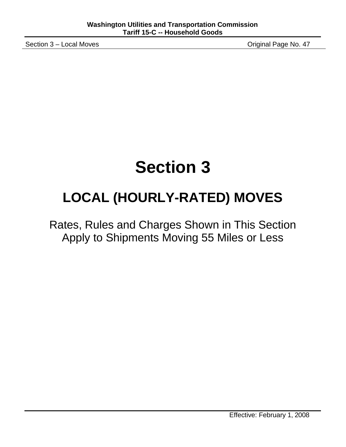Section 3 – Local Moves **Section 3 – Local Moves** Channel Page No. 47

## **Section 3**

## **LOCAL (HOURLY-RATED) MOVES**

Rates, Rules and Charges Shown in This Section Apply to Shipments Moving 55 Miles or Less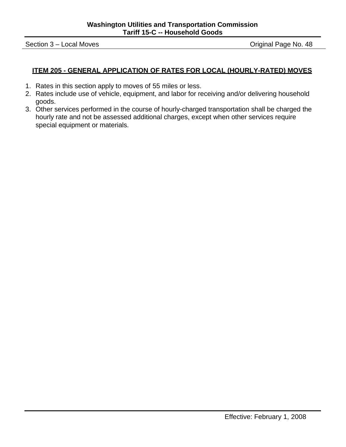Section 3 – Local Moves **Section 3 – Local Moves** Contract Assembly Contract Assembly Contract Assembly Contract Assembly Contract Assembly Contract Assembly Contract Assembly Contract Assembly Contract Assembly Contract A

#### **ITEM 205 - GENERAL APPLICATION OF RATES FOR LOCAL (HOURLY-RATED) MOVES**

- 1. Rates in this section apply to moves of 55 miles or less.
- 2. Rates include use of vehicle, equipment, and labor for receiving and/or delivering household goods.
- 3. Other services performed in the course of hourly-charged transportation shall be charged the hourly rate and not be assessed additional charges, except when other services require special equipment or materials.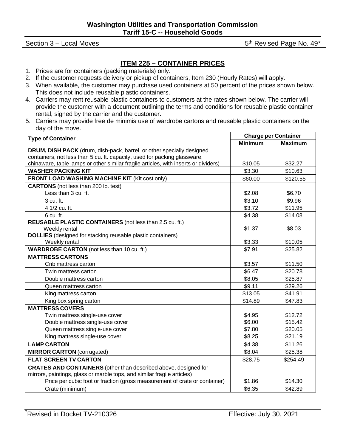Section  $3 -$  Local Moves 6th Revised Page No. 49\*

#### **ITEM 225 – CONTAINER PRICES**

- 1. Prices are for containers (packing materials) only.
- 2. If the customer requests delivery or pickup of containers, Item 230 (Hourly Rates) will apply.
- 3. When available, the customer may purchase used containers at 50 percent of the prices shown below. This does not include reusable plastic containers.
- 4. Carriers may rent reusable plastic containers to customers at the rates shown below. The carrier will provide the customer with a document outlining the terms and conditions for reusable plastic container rental, signed by the carrier and the customer.
- 5. Carriers may provide free de minimis use of wardrobe cartons and reusable plastic containers on the day of the move.

| <b>Type of Container</b>                                                            |                | <b>Charge per Container</b> |
|-------------------------------------------------------------------------------------|----------------|-----------------------------|
|                                                                                     | <b>Minimum</b> | <b>Maximum</b>              |
| DRUM, DISH PACK (drum, dish-pack, barrel, or other specially designed               |                |                             |
| containers, not less than 5 cu. ft. capacity, used for packing glassware,           |                |                             |
| chinaware, table lamps or other similar fragile articles, with inserts or dividers) | \$10.05        | \$32.27                     |
| <b>WASHER PACKING KIT</b>                                                           | \$3.30         | \$10.63                     |
| <b>FRONT LOAD WASHING MACHINE KIT (Kit cost only)</b>                               | \$60.00        | \$120.55                    |
| <b>CARTONS</b> (not less than 200 lb. test)                                         |                |                             |
| Less than 3 cu. ft.                                                                 | \$2.08         | \$6.70                      |
| 3 cu. ft.                                                                           | \$3.10         | \$9.96                      |
| 4 1/2 cu. ft.                                                                       | \$3.72         | \$11.95                     |
| 6 cu. ft.                                                                           | \$4.38         | \$14.08                     |
| REUSABLE PLASTIC CONTAINERS (not less than 2.5 cu. ft.)                             |                |                             |
| Weekly rental                                                                       | \$1.37         | \$8.03                      |
| <b>DOLLIES</b> (designed for stacking reusable plastic containers)                  |                |                             |
| Weekly rental                                                                       | \$3.33         | \$10.05                     |
| <b>WARDROBE CARTON</b> (not less than 10 cu. ft.)                                   | \$7.91         | \$25.82                     |
| <b>MATTRESS CARTONS</b>                                                             |                |                             |
| Crib mattress carton                                                                | \$3.57         | \$11.50                     |
| Twin mattress carton                                                                | \$6.47         | \$20.78                     |
| Double mattress carton                                                              | \$8.05         | \$25.87                     |
| Queen mattress carton                                                               | \$9.11         | \$29.26                     |
| King mattress carton                                                                | \$13.05        | \$41.91                     |
| King box spring carton                                                              | \$14.89        | \$47.83                     |
| <b>MATTRESS COVERS</b>                                                              |                |                             |
| Twin mattress single-use cover                                                      | \$4.95         | \$12.72                     |
| Double mattress single-use cover                                                    | \$6.00         | \$15.42                     |
| Queen mattress single-use cover                                                     | \$7.80         | \$20.05                     |
| King mattress single-use cover                                                      | \$8.25         | \$21.19                     |
| <b>LAMP CARTON</b>                                                                  | \$4.38         | \$11.26                     |
| <b>MIRROR CARTON</b> (corrugated)                                                   | \$8.04         | \$25.38                     |
| <b>FLAT SCREEN TV CARTON</b>                                                        | \$28.75        | \$254.49                    |
| <b>CRATES AND CONTAINERS</b> (other than described above, designed for              |                |                             |
| mirrors, paintings, glass or marble tops, and similar fragile articles)             |                |                             |
| Price per cubic foot or fraction (gross measurement of crate or container)          | \$1.86         | \$14.30                     |
| Crate (minimum)                                                                     | \$6.35         | \$42.89                     |